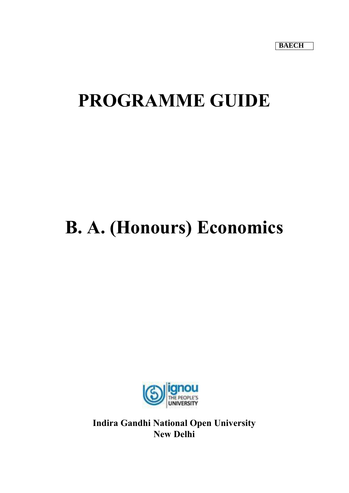# **PROGRAMME GUIDE**

# **B. A. (Honours) Economics**



**Indira Gandhi National Open University New Delhi**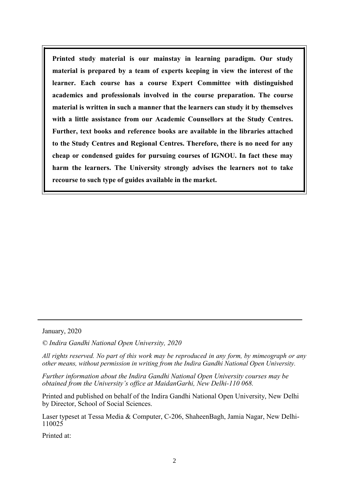**Printed study material is our mainstay in learning paradigm. Our study material is prepared by a team of experts keeping in view the interest of the learner. Each course has a course Expert Committee with distinguished academics and professionals involved in the course preparation. The course material is written in such a manner that the learners can study it by themselves with a little assistance from our Academic Counsellors at the Study Centres. Further, text books and reference books are available in the libraries attached to the Study Centres and Regional Centres. Therefore, there is no need for any cheap or condensed guides for pursuing courses of IGNOU. In fact these may harm the learners. The University strongly advises the learners not to take recourse to such type of guides available in the market.**

January, 2020

*© Indira Gandhi National Open University, 2020*

*All rights reserved. No part of this work may be reproduced in any form, by mimeograph or any other means, without permission in writing from the Indira Gandhi National Open University.*

*Further information about the Indira Gandhi National Open University courses may be obtained from the University's office at MaidanGarhi, New Delhi-110 068.*

Printed and published on behalf of the Indira Gandhi National Open University, New Delhi by Director, School of Social Sciences.

Laser typeset at Tessa Media & Computer, C-206, ShaheenBagh, Jamia Nagar, New Delhi-110025

Printed at: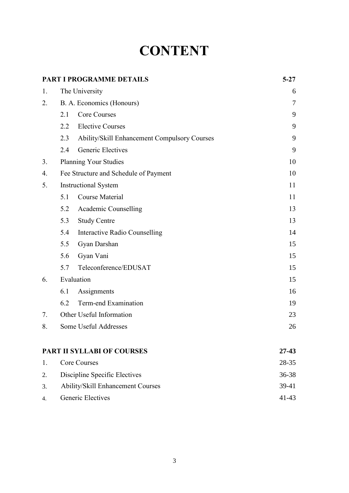# **CONTENT**

|    |     | PART I PROGRAMME DETAILS                     | $5 - 27$ |
|----|-----|----------------------------------------------|----------|
| 1. |     | The University                               | 6        |
| 2. |     | B. A. Economics (Honours)                    | $\tau$   |
|    | 2.1 | <b>Core Courses</b>                          | 9        |
|    | 2.2 | <b>Elective Courses</b>                      | 9        |
|    | 2.3 | Ability/Skill Enhancement Compulsory Courses | 9        |
|    | 2.4 | <b>Generic Electives</b>                     | 9        |
| 3. |     | <b>Planning Your Studies</b>                 | 10       |
| 4. |     | Fee Structure and Schedule of Payment        | 10       |
| 5. |     | <b>Instructional System</b>                  | 11       |
|    | 5.1 | <b>Course Material</b>                       | 11       |
|    | 5.2 | Academic Counselling                         | 13       |
|    | 5.3 | <b>Study Centre</b>                          | 13       |
|    | 5.4 | Interactive Radio Counselling                | 14       |
|    | 5.5 | Gyan Darshan                                 | 15       |
|    | 5.6 | Gyan Vani                                    | 15       |
|    | 5.7 | Teleconference/EDUSAT                        | 15       |
| 6. |     | Evaluation                                   | 15       |
|    | 6.1 | Assignments                                  | 16       |
|    | 6.2 | Term-end Examination                         | 19       |
| 7. |     | Other Useful Information                     | 23       |
| 8. |     | Some Useful Addresses                        | 26       |
|    |     | <b>PART II SYLLABI OF COURSES</b>            | 27-43    |
| 1. |     | <b>Core Courses</b>                          | 28-35    |
| 2. |     | Discipline Specific Electives                | 36-38    |
| 3. |     | <b>Ability/Skill Enhancement Courses</b>     | 39-41    |
| 4. |     | <b>Generic Electives</b>                     | 41-43    |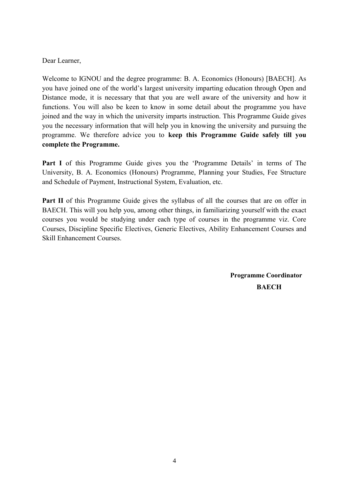#### Dear Learner,

Welcome to IGNOU and the degree programme: B. A. Economics (Honours) [BAECH]. As you have joined one of the world's largest university imparting education through Open and Distance mode, it is necessary that that you are well aware of the university and how it functions. You will also be keen to know in some detail about the programme you have joined and the way in which the university imparts instruction. This Programme Guide gives you the necessary information that will help you in knowing the university and pursuing the programme. We therefore advice you to **keep this Programme Guide safely till you complete the Programme.** 

Part I of this Programme Guide gives you the 'Programme Details' in terms of The University, B. A. Economics (Honours) Programme, Planning your Studies, Fee Structure and Schedule of Payment, Instructional System, Evaluation, etc.

**Part II** of this Programme Guide gives the syllabus of all the courses that are on offer in BAECH. This will you help you, among other things, in familiarizing yourself with the exact courses you would be studying under each type of courses in the programme viz. Core Courses, Discipline Specific Electives, Generic Electives, Ability Enhancement Courses and Skill Enhancement Courses.

> **Programme Coordinator BAECH**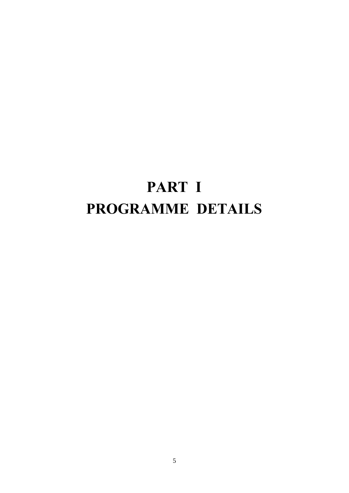# **PART I PROGRAMME DETAILS**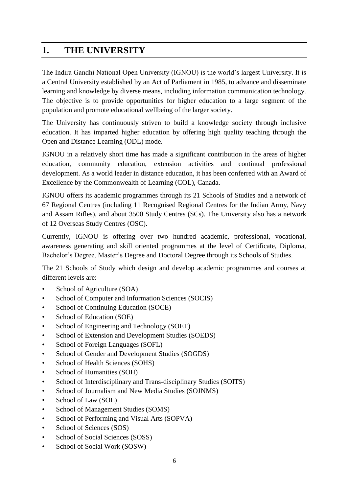# **1. THE UNIVERSITY**

The Indira Gandhi National Open University (IGNOU) is the world's largest University. It is a Central University established by an Act of Parliament in 1985, to advance and disseminate learning and knowledge by diverse means, including information communication technology. The objective is to provide opportunities for higher education to a large segment of the population and promote educational wellbeing of the larger society.

The University has continuously striven to build a knowledge society through inclusive education. It has imparted higher education by offering high quality teaching through the Open and Distance Learning (ODL) mode.

IGNOU in a relatively short time has made a significant contribution in the areas of higher education, community education, extension activities and continual professional development. As a world leader in distance education, it has been conferred with an Award of Excellence by the Commonwealth of Learning (COL), Canada.

IGNOU offers its academic programmes through its 21 Schools of Studies and a network of 67 Regional Centres (including 11 Recognised Regional Centres for the Indian Army, Navy and Assam Rifles), and about 3500 Study Centres (SCs). The University also has a network of 12 Overseas Study Centres (OSC).

Currently, IGNOU is offering over two hundred academic, professional, vocational, awareness generating and skill oriented programmes at the level of Certificate, Diploma, Bachelor's Degree, Master's Degree and Doctoral Degree through its Schools of Studies.

The 21 Schools of Study which design and develop academic programmes and courses at different levels are:

- School of Agriculture (SOA)
- School of Computer and Information Sciences (SOCIS)
- School of Continuing Education (SOCE)
- School of Education (SOE)
- School of Engineering and Technology (SOET)
- School of Extension and Development Studies (SOEDS)
- School of Foreign Languages (SOFL)
- School of Gender and Development Studies (SOGDS)
- School of Health Sciences (SOHS)
- School of Humanities (SOH)
- School of Interdisciplinary and Trans-disciplinary Studies (SOITS)
- School of Journalism and New Media Studies (SOJNMS)
- School of Law (SOL)
- School of Management Studies (SOMS)
- School of Performing and Visual Arts (SOPVA)
- School of Sciences (SOS)
- School of Social Sciences (SOSS)
- School of Social Work (SOSW)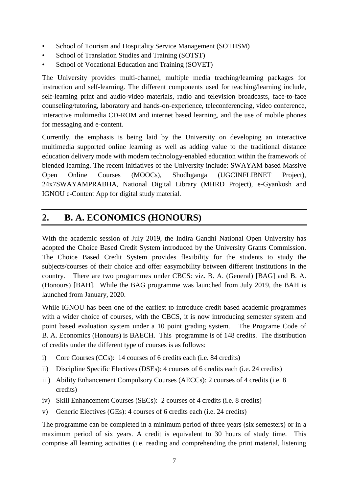- School of Tourism and Hospitality Service Management (SOTHSM)
- School of Translation Studies and Training (SOTST)
- School of Vocational Education and Training (SOVET)

The University provides multi-channel, multiple media teaching/learning packages for instruction and self-learning. The different components used for teaching/learning include, self-learning print and audio-video materials, radio and television broadcasts, face-to-face counseling/tutoring, laboratory and hands-on-experience, teleconferencing, video conference, interactive multimedia CD-ROM and internet based learning, and the use of mobile phones for messaging and e-content.

Currently, the emphasis is being laid by the University on developing an interactive multimedia supported online learning as well as adding value to the traditional distance education delivery mode with modern technology-enabled education within the framework of blended learning. The recent initiatives of the University include: SWAYAM based Massive Open Online Courses (MOOCs), Shodhganga (UGCINFLIBNET Project), 24x7SWAYAMPRABHA, National Digital Library (MHRD Project), e-Gyankosh and IGNOU e-Content App for digital study material.

# **2. B. A. ECONOMICS (HONOURS)**

With the academic session of July 2019, the Indira Gandhi National Open University has adopted the Choice Based Credit System introduced by the University Grants Commission. The Choice Based Credit System provides flexibility for the students to study the subjects/courses of their choice and offer easymobility between different institutions in the country. There are two programmes under CBCS: viz. B. A. (General) [BAG] and B. A. (Honours) [BAH]. While the BAG programme was launched from July 2019, the BAH is launched from January, 2020.

While IGNOU has been one of the earliest to introduce credit based academic programmes with a wider choice of courses, with the CBCS, it is now introducing semester system and point based evaluation system under a 10 point grading system. The Programe Code of B. A. Economics (Honours) is BAECH. This programme is of 148 credits. The distribution of credits under the different type of courses is as follows:

- i) Core Courses (CCs): 14 courses of 6 credits each (i.e. 84 credits)
- ii) Discipline Specific Electives (DSEs): 4 courses of 6 credits each (i.e. 24 credits)
- iii) Ability Enhancement Compulsory Courses (AECCs): 2 courses of 4 credits (i.e. 8 credits)
- iv) Skill Enhancement Courses (SECs): 2 courses of 4 credits (i.e. 8 credits)
- v) Generic Electives (GEs): 4 courses of 6 credits each (i.e. 24 credits)

The programme can be completed in a minimum period of three years (six semesters) or in a maximum period of six years. A credit is equivalent to 30 hours of study time. This comprise all learning activities (i.e. reading and comprehending the print material, listening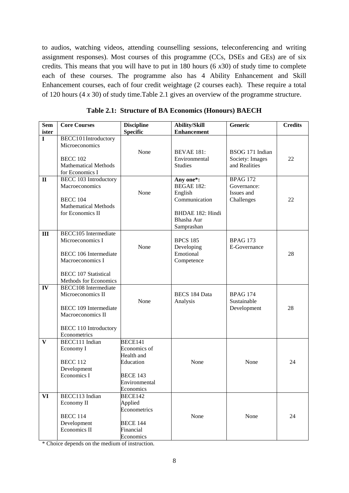to audios, watching videos, attending counselling sessions, teleconferencing and writing assignment responses). Most courses of this programme (CCs, DSEs and GEs) are of six credits. This means that you will have to put in 180 hours (6 *x*30) of study time to complete each of these courses. The programme also has 4 Ability Enhancement and Skill Enhancement courses, each of four credit weightage (2 courses each). These require a total of 120 hours (4 *x* 30) of study time.Table 2.1 gives an overview of the programme structure.

| <b>Sem</b><br>ister | <b>Core Courses</b>          | <b>Discipline</b><br><b>Specific</b> | <b>Ability/Skill</b><br><b>Enhancement</b> | Generic         | <b>Credits</b> |
|---------------------|------------------------------|--------------------------------------|--------------------------------------------|-----------------|----------------|
| $\mathbf I$         | BECC101Introductory          |                                      |                                            |                 |                |
|                     | Microeconomics               |                                      |                                            |                 |                |
|                     |                              | None                                 | <b>BEVAE 181:</b>                          | BSOG 171 Indian |                |
|                     | <b>BECC 102</b>              |                                      | Environmental                              | Society: Images | 22             |
|                     | <b>Mathematical Methods</b>  |                                      | <b>Studies</b>                             | and Realities   |                |
|                     | for Economics I              |                                      |                                            |                 |                |
| $\mathbf{I}$        | <b>BECC 103 Introductory</b> |                                      | Any one*:                                  | <b>BPAG 172</b> |                |
|                     | Macroeconomics               |                                      | <b>BEGAE 182:</b>                          | Governance:     |                |
|                     |                              | None                                 | English                                    | Issues and      |                |
|                     | <b>BECC 104</b>              |                                      | Communication                              | Challenges      | 22             |
|                     | <b>Mathematical Methods</b>  |                                      |                                            |                 |                |
|                     | for Economics II             |                                      | <b>BHDAE 182: Hindi</b>                    |                 |                |
|                     |                              |                                      | Bhasha Aur                                 |                 |                |
|                     |                              |                                      | Samprashan                                 |                 |                |
| III                 | <b>BECC105</b> Intermediate  |                                      |                                            |                 |                |
|                     | Microeconomics I             |                                      | <b>BPCS 185</b>                            | <b>BPAG 173</b> |                |
|                     |                              | None                                 | Developing                                 | E-Governance    |                |
|                     | <b>BECC 106 Intermediate</b> |                                      | Emotional                                  |                 | 28             |
|                     | Macroeconomics I             |                                      | Competence                                 |                 |                |
|                     | <b>BECC 107 Statistical</b>  |                                      |                                            |                 |                |
|                     | Methods for Economics        |                                      |                                            |                 |                |
| IV                  | <b>BECC108</b> Intermediate  |                                      |                                            |                 |                |
|                     | Microeconomics II            |                                      | <b>BECS 184 Data</b>                       | <b>BPAG 174</b> |                |
|                     |                              | None                                 | Analysis                                   | Sustainable     |                |
|                     | <b>BECC 109 Intermediate</b> |                                      |                                            | Development     | 28             |
|                     | Macroeconomics II            |                                      |                                            |                 |                |
|                     | <b>BECC 110 Introductory</b> |                                      |                                            |                 |                |
|                     | Econometrics                 |                                      |                                            |                 |                |
| V                   | BECC111 Indian               | BECE141                              |                                            |                 |                |
|                     | Economy I                    | Economics of                         |                                            |                 |                |
|                     |                              | Health and                           |                                            |                 |                |
|                     | <b>BECC 112</b>              | Education                            | None                                       | None            | 24             |
|                     | Development                  |                                      |                                            |                 |                |
|                     | Economics I                  | <b>BECE 143</b>                      |                                            |                 |                |
|                     |                              | Environmental                        |                                            |                 |                |
|                     |                              | Economics<br><b>BECE142</b>          |                                            |                 |                |
| <b>VI</b>           | BECC113 Indian               |                                      |                                            |                 |                |
|                     | Economy II                   | Applied<br>Econometrics              |                                            |                 |                |
|                     | <b>BECC 114</b>              |                                      | None                                       | None            | 24             |
|                     | Development                  | <b>BECE 144</b>                      |                                            |                 |                |
|                     | Economics II                 | Financial                            |                                            |                 |                |
|                     |                              | Economics                            |                                            |                 |                |
|                     |                              |                                      |                                            |                 |                |

**Table 2.1: Structure of BA Economics (Honours) BAECH**

\* Choice depends on the medium of instruction.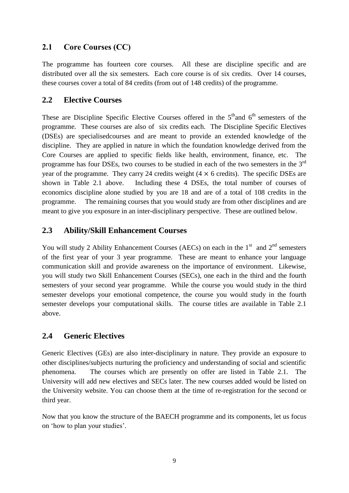## **2.1 Core Courses (CC)**

The programme has fourteen core courses. All these are discipline specific and are distributed over all the six semesters. Each core course is of six credits. Over 14 courses, these courses cover a total of 84 credits (from out of 148 credits) of the programme.

### **2.2 Elective Courses**

These are Discipline Specific Elective Courses offered in the  $5<sup>th</sup>$  and  $6<sup>th</sup>$  semesters of the programme. These courses are also of six credits each. The Discipline Specific Electives (DSEs) are specialisedcourses and are meant to provide an extended knowledge of the discipline. They are applied in nature in which the foundation knowledge derived from the Core Courses are applied to specific fields like health, environment, finance, etc. The programme has four DSEs, two courses to be studied in each of the two semesters in the 3<sup>rd</sup> year of the programme. They carry 24 credits weight  $(4 \times 6 \text{ credits})$ . The specific DSEs are shown in Table 2.1 above. Including these 4 DSEs, the total number of courses of economics discipline alone studied by you are 18 and are of a total of 108 credits in the programme. The remaining courses that you would study are from other disciplines and are meant to give you exposure in an inter-disciplinary perspective. These are outlined below.

### **2.3 Ability/Skill Enhancement Courses**

You will study 2 Ability Enhancement Courses (AECs) on each in the  $1<sup>st</sup>$  and  $2<sup>nd</sup>$  semesters of the first year of your 3 year programme. These are meant to enhance your language communication skill and provide awareness on the importance of environment. Likewise, you will study two Skill Enhancement Courses (SECs), one each in the third and the fourth semesters of your second year programme. While the course you would study in the third semester develops your emotional competence, the course you would study in the fourth semester develops your computational skills. The course titles are available in Table 2.1 above.

### **2.4 Generic Electives**

Generic Electives (GEs) are also inter-disciplinary in nature. They provide an exposure to other disciplines/subjects nurturing the proficiency and understanding of social and scientific phenomena. The courses which are presently on offer are listed in Table 2.1. The University will add new electives and SECs later. The new courses added would be listed on the University website. You can choose them at the time of re-registration for the second or third year.

Now that you know the structure of the BAECH programme and its components, let us focus on 'how to plan your studies'.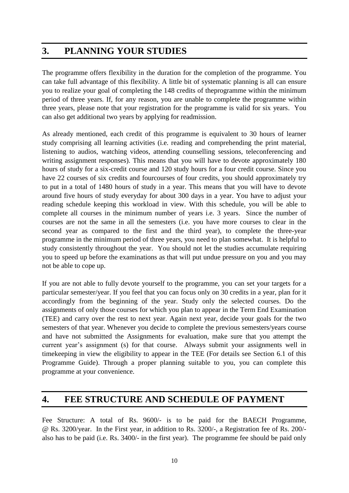# **3. PLANNING YOUR STUDIES**

The programme offers flexibility in the duration for the completion of the programme. You can take full advantage of this flexibility. A little bit of systematic planning is all can ensure you to realize your goal of completing the 148 credits of theprogramme within the minimum period of three years. If, for any reason, you are unable to complete the programme within three years, please note that your registration for the programme is valid for six years. You can also get additional two years by applying for readmission.

As already mentioned, each credit of this programme is equivalent to 30 hours of learner study comprising all learning activities (i.e. reading and comprehending the print material, listening to audios, watching videos, attending counselling sessions, teleconferencing and writing assignment responses). This means that you will have to devote approximately 180 hours of study for a six-credit course and 120 study hours for a four credit course. Since you have 22 courses of six credits and fourcourses of four credits, you should approximately try to put in a total of 1480 hours of study in a year. This means that you will have to devote around five hours of study everyday for about 300 days in a year. You have to adjust your reading schedule keeping this workload in view. With this schedule, you will be able to complete all courses in the minimum number of years i.e. 3 years. Since the number of courses are not the same in all the semesters (i.e. you have more courses to clear in the second year as compared to the first and the third year), to complete the three-year programme in the minimum period of three years, you need to plan somewhat. It is helpful to study consistently throughout the year. You should not let the studies accumulate requiring you to speed up before the examinations as that will put undue pressure on you and you may not be able to cope up.

If you are not able to fully devote yourself to the programme, you can set your targets for a particular semester/year. If you feel that you can focus only on 30 credits in a year, plan for it accordingly from the beginning of the year. Study only the selected courses. Do the assignments of only those courses for which you plan to appear in the Term End Examination (TEE) and carry over the rest to next year. Again next year, decide your goals for the two semesters of that year. Whenever you decide to complete the previous semesters/years course and have not submitted the Assignments for evaluation, make sure that you attempt the current year's assignment (s) for that course. Always submit your assignments well in timekeeping in view the eligibility to appear in the TEE (For details see Section 6.1 of this Programme Guide). Through a proper planning suitable to you, you can complete this programme at your convenience.

# **4. FEE STRUCTURE AND SCHEDULE OF PAYMENT**

Fee Structure: A total of Rs. 9600/- is to be paid for the BAECH Programme, @ Rs. 3200/year. In the First year, in addition to Rs. 3200/-, a Registration fee of Rs. 200/ also has to be paid (i.e. Rs. 3400/- in the first year). The programme fee should be paid only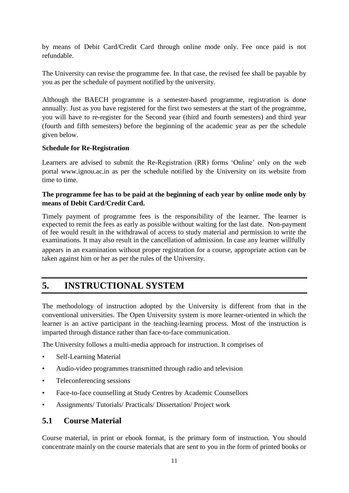by means of Debit Card/Credit Card through online mode only. Fee once paid is not refundable.

The University can revise the programme fee. In that case, the revised fee shall be payable by you as per the schedule of payment notified by the university.

Although the BAECH programme is a semester-based programme, registration is done annually. Just as you have registered for the first two semesters at the start of the programme, you will have to re-register for the Second year (third and fourth semesters) and third year (fourth and fifth semesters) before the beginning of the academic year as per the schedule given below.

#### **Schedule for Re-Registration**

Learners are advised to submit the Re-Registration (RR) forms 'Online' only on the web portal www.ignou.ac.in as per the schedule notified by the University on its website from time to time.

#### **The programme fee has to be paid at the beginning of each year by online mode only by means of Debit Card/Credit Card.**

Timely payment of programme fees is the responsibility of the learner. The learner is expected to remit the fees as early as possible without waiting for the last date. Non-payment of fee would result in the withdrawal of access to study material and permission to write the examinations. It may also result in the cancellation of admission. In case any learner willfully appears in an examination without proper registration for a course, appropriate action can be taken against him or her as per the rules of the University.

# **5. INSTRUCTIONAL SYSTEM**

The methodology of instruction adopted by the University is different from that in the conventional universities. The Open University system is more learner-oriented in which the learner is an active participant in the teaching-learning process. Most of the instruction is imparted through distance rather than face-to-face communication.

The University follows a multi-media approach for instruction. It comprises of

- Self-Learning Material
- Audio-video programmes transmitted through radio and television
- Teleconferencing sessions
- Face-to-face counselling at Study Centres by Academic Counsellors
- Assignments/ Tutorials/ Practicals/ Dissertation/ Project work

#### **5.1 Course Material**

Course material, in print or ebook format, is the primary form of instruction. You should concentrate mainly on the course materials that are sent to you in the form of printed books or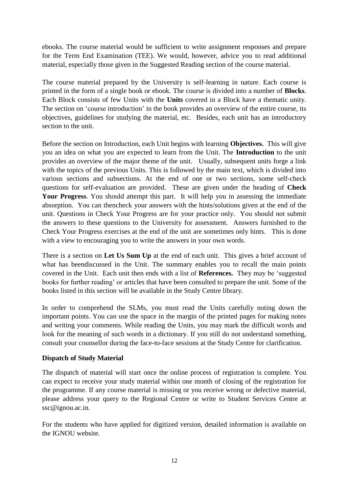ebooks. The course material would be sufficient to write assignment responses and prepare for the Term End Examination (TEE). We would, however, advice you to read additional material, especially those given in the Suggested Reading section of the course material.

The course material prepared by the University is self-learning in nature. Each course is printed in the form of a single book or ebook. The course is divided into a number of **Blocks**. Each Block consists of few Units with the **Units** covered in a Block have a thematic unity. The section on 'course introduction' in the book provides an overview of the entire course, its objectives, guidelines for studying the material, etc. Besides, each unit has an introductory section to the unit.

Before the section on Introduction, each Unit begins with learning **Objectives.** This will give you an idea on what you are expected to learn from the Unit. The **Introduction** to the unit provides an overview of the major theme of the unit. Usually, subsequent units forge a link with the topics of the previous Units. This is followed by the main text, which is divided into various sections and subsections. At the end of one or two sections, some self-check questions for self-evaluation are provided. These are given under the heading of **Check Your Progress**. You should attempt this part. It will help you in assessing the immediate absorption. You can thencheck your answers with the hints/solutions given at the end of the unit. Questions in Check Your Progress are for your practice only. You should not submit the answers to these questions to the University for assessment. Answers furnished to the Check Your Progress exercises at the end of the unit are sometimes only hints. This is done with a view to encouraging you to write the answers in your own words.

There is a section on **Let Us Sum Up** at the end of each unit. This gives a brief account of what has beendiscussed in the Unit. The summary enables you to recall the main points covered in the Unit. Each unit then ends with a list of **References.** They may be 'suggested books for further reading' or articles that have been consulted to prepare the unit. Some of the books listed in this section will be available in the Study Centre library.

In order to comprehend the SLMs, you must read the Units carefully noting down the important points. You can use the space in the margin of the printed pages for making notes and writing your comments. While reading the Units, you may mark the difficult words and look for the meaning of such words in a dictionary. If you still do not understand something, consult your counsellor during the face-to-face sessions at the Study Centre for clarification.

#### **Dispatch of Study Material**

The dispatch of material will start once the online process of registration is complete. You can expect to receive your study material within one month of closing of the registration for the programme. If any course material is missing or you receive wrong or defective material, please address your query to the Regional Centre or write to Student Services Centre at ssc@ignou.ac.in.

For the students who have applied for digitized version, detailed information is available on the IGNOU website.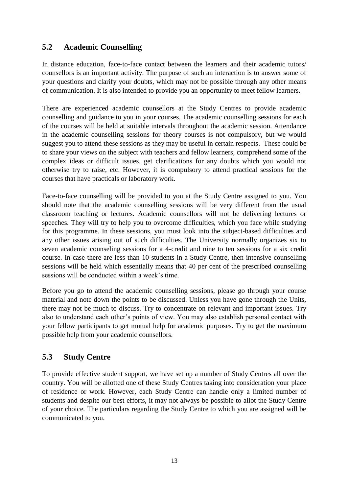## **5.2 Academic Counselling**

In distance education, face-to-face contact between the learners and their academic tutors/ counsellors is an important activity. The purpose of such an interaction is to answer some of your questions and clarify your doubts, which may not be possible through any other means of communication. It is also intended to provide you an opportunity to meet fellow learners.

There are experienced academic counsellors at the Study Centres to provide academic counselling and guidance to you in your courses. The academic counselling sessions for each of the courses will be held at suitable intervals throughout the academic session. Attendance in the academic counselling sessions for theory courses is not compulsory, but we would suggest you to attend these sessions as they may be useful in certain respects. These could be to share your views on the subject with teachers and fellow learners, comprehend some of the complex ideas or difficult issues, get clarifications for any doubts which you would not otherwise try to raise, etc. However, it is compulsory to attend practical sessions for the courses that have practicals or laboratory work.

Face-to-face counselling will be provided to you at the Study Centre assigned to you. You should note that the academic counselling sessions will be very different from the usual classroom teaching or lectures. Academic counsellors will not be delivering lectures or speeches. They will try to help you to overcome difficulties, which you face while studying for this programme. In these sessions, you must look into the subject-based difficulties and any other issues arising out of such difficulties. The University normally organizes six to seven academic counseling sessions for a 4-credit and nine to ten sessions for a six credit course. In case there are less than 10 students in a Study Centre, then intensive counselling sessions will be held which essentially means that 40 per cent of the prescribed counselling sessions will be conducted within a week's time.

Before you go to attend the academic counselling sessions, please go through your course material and note down the points to be discussed. Unless you have gone through the Units, there may not be much to discuss. Try to concentrate on relevant and important issues. Try also to understand each other's points of view. You may also establish personal contact with your fellow participants to get mutual help for academic purposes. Try to get the maximum possible help from your academic counsellors.

### **5.3 Study Centre**

To provide effective student support, we have set up a number of Study Centres all over the country. You will be allotted one of these Study Centres taking into consideration your place of residence or work. However, each Study Centre can handle only a limited number of students and despite our best efforts, it may not always be possible to allot the Study Centre of your choice. The particulars regarding the Study Centre to which you are assigned will be communicated to you.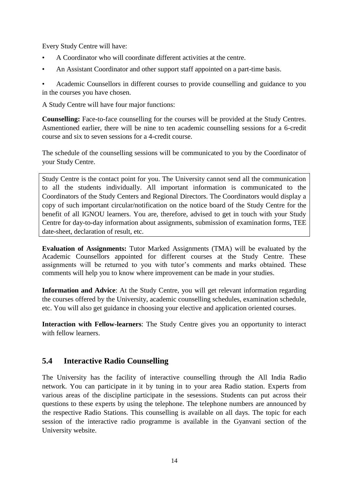Every Study Centre will have:

- A Coordinator who will coordinate different activities at the centre.
- An Assistant Coordinator and other support staff appointed on a part-time basis.

• Academic Counsellors in different courses to provide counselling and guidance to you in the courses you have chosen.

A Study Centre will have four major functions:

**Counselling:** Face-to-face counselling for the courses will be provided at the Study Centres. Asmentioned earlier, there will be nine to ten academic counselling sessions for a 6-credit course and six to seven sessions for a 4-credit course.

The schedule of the counselling sessions will be communicated to you by the Coordinator of your Study Centre.

Study Centre is the contact point for you. The University cannot send all the communication to all the students individually. All important information is communicated to the Coordinators of the Study Centers and Regional Directors. The Coordinators would display a copy of such important circular/notification on the notice board of the Study Centre for the benefit of all IGNOU learners. You are, therefore, advised to get in touch with your Study Centre for day-to-day information about assignments, submission of examination forms, TEE date-sheet, declaration of result, etc.

**Evaluation of Assignments:** Tutor Marked Assignments (TMA) will be evaluated by the Academic Counsellors appointed for different courses at the Study Centre. These assignments will be returned to you with tutor's comments and marks obtained. These comments will help you to know where improvement can be made in your studies.

**Information and Advice**: At the Study Centre, you will get relevant information regarding the courses offered by the University, academic counselling schedules, examination schedule, etc. You will also get guidance in choosing your elective and application oriented courses.

**Interaction with Fellow-learners**: The Study Centre gives you an opportunity to interact with fellow learners.

### **5.4 Interactive Radio Counselling**

The University has the facility of interactive counselling through the All India Radio network. You can participate in it by tuning in to your area Radio station. Experts from various areas of the discipline participate in the sesessions. Students can put across their questions to these experts by using the telephone. The telephone numbers are announced by the respective Radio Stations. This counselling is available on all days. The topic for each session of the interactive radio programme is available in the Gyanvani section of the University website.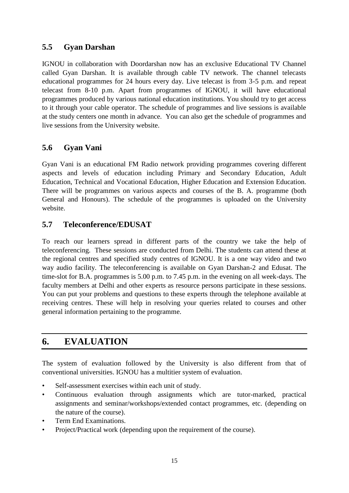## **5.5 Gyan Darshan**

IGNOU in collaboration with Doordarshan now has an exclusive Educational TV Channel called Gyan Darshan. It is available through cable TV network. The channel telecasts educational programmes for 24 hours every day. Live telecast is from 3-5 p.m. and repeat telecast from 8-10 p.m. Apart from programmes of IGNOU, it will have educational programmes produced by various national education institutions. You should try to get access to it through your cable operator. The schedule of programmes and live sessions is available at the study centers one month in advance. You can also get the schedule of programmes and live sessions from the University website.

## **5.6 Gyan Vani**

Gyan Vani is an educational FM Radio network providing programmes covering different aspects and levels of education including Primary and Secondary Education, Adult Education, Technical and Vocational Education, Higher Education and Extension Education. There will be programmes on various aspects and courses of the B. A. programme (both General and Honours). The schedule of the programmes is uploaded on the University website.

## **5.7 Teleconference/EDUSAT**

To reach our learners spread in different parts of the country we take the help of teleconferencing. These sessions are conducted from Delhi. The students can attend these at the regional centres and specified study centres of IGNOU. It is a one way video and two way audio facility. The teleconferencing is available on Gyan Darshan-2 and Edusat. The time-slot for B.A. programmes is 5.00 p.m. to 7.45 p.m. in the evening on all week-days. The faculty members at Delhi and other experts as resource persons participate in these sessions. You can put your problems and questions to these experts through the telephone available at receiving centres. These will help in resolving your queries related to courses and other general information pertaining to the programme.

# **6. EVALUATION**

The system of evaluation followed by the University is also different from that of conventional universities. IGNOU has a multitier system of evaluation.

- Self-assessment exercises within each unit of study.
- Continuous evaluation through assignments which are tutor-marked, practical assignments and seminar/workshops/extended contact programmes, etc. (depending on the nature of the course).
- Term End Examinations.
- Project/Practical work (depending upon the requirement of the course).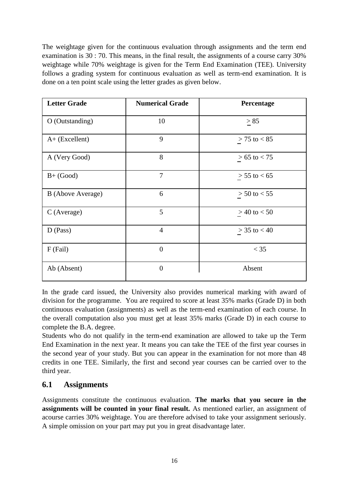The weightage given for the continuous evaluation through assignments and the term end examination is 30 : 70. This means, in the final result, the assignments of a course carry 30% weightage while 70% weightage is given for the Term End Examination (TEE). University follows a grading system for continuous evaluation as well as term-end examination. It is done on a ten point scale using the letter grades as given below.

| <b>Letter Grade</b> | <b>Numerical Grade</b> | Percentage       |
|---------------------|------------------------|------------------|
| O (Outstanding)     | 10                     | > 85             |
| $A+$ (Excellent)    | 9                      | $> 75$ to $< 85$ |
| A (Very Good)       | 8                      | $> 65$ to $< 75$ |
| $B+ (Good)$         | $\overline{7}$         | $> 55$ to $< 65$ |
| B (Above Average)   | 6                      | $> 50$ to $< 55$ |
| C (Average)         | 5                      | $> 40$ to $< 50$ |
| $D$ (Pass)          | $\overline{4}$         | $> 35$ to $< 40$ |
| F (Fail)            | $\overline{0}$         | $<$ 35           |
| Ab (Absent)         | $\overline{0}$         | Absent           |

In the grade card issued, the University also provides numerical marking with award of division for the programme. You are required to score at least 35% marks (Grade D) in both continuous evaluation (assignments) as well as the term-end examination of each course. In the overall computation also you must get at least 35% marks (Grade D) in each course to complete the B.A. degree.

Students who do not qualify in the term-end examination are allowed to take up the Term End Examination in the next year. It means you can take the TEE of the first year courses in the second year of your study. But you can appear in the examination for not more than 48 credits in one TEE. Similarly, the first and second year courses can be carried over to the third year.

### **6.1 Assignments**

Assignments constitute the continuous evaluation. **The marks that you secure in the assignments will be counted in your final result.** As mentioned earlier, an assignment of acourse carries 30% weightage. You are therefore advised to take your assignment seriously. A simple omission on your part may put you in great disadvantage later.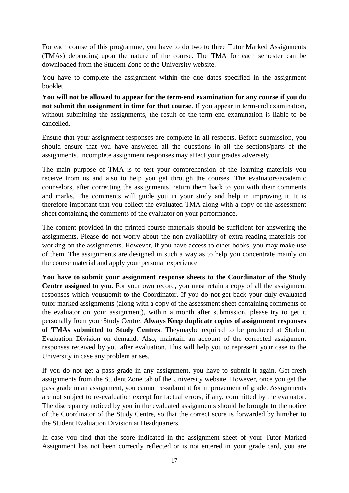For each course of this programme, you have to do two to three Tutor Marked Assignments (TMAs) depending upon the nature of the course. The TMA for each semester can be downloaded from the Student Zone of the University website.

You have to complete the assignment within the due dates specified in the assignment booklet.

**You will not be allowed to appear for the term-end examination for any course if you do not submit the assignment in time for that course**. If you appear in term-end examination, without submitting the assignments, the result of the term-end examination is liable to be cancelled.

Ensure that your assignment responses are complete in all respects. Before submission, you should ensure that you have answered all the questions in all the sections/parts of the assignments. Incomplete assignment responses may affect your grades adversely.

The main purpose of TMA is to test your comprehension of the learning materials you receive from us and also to help you get through the courses. The evaluators/academic counselors, after correcting the assignments, return them back to you with their comments and marks. The comments will guide you in your study and help in improving it. It is therefore important that you collect the evaluated TMA along with a copy of the assessment sheet containing the comments of the evaluator on your performance.

The content provided in the printed course materials should be sufficient for answering the assignments. Please do not worry about the non-availability of extra reading materials for working on the assignments. However, if you have access to other books, you may make use of them. The assignments are designed in such a way as to help you concentrate mainly on the course material and apply your personal experience.

**You have to submit your assignment response sheets to the Coordinator of the Study Centre assigned to you.** For your own record, you must retain a copy of all the assignment responses which yousubmit to the Coordinator. If you do not get back your duly evaluated tutor marked assignments (along with a copy of the assessment sheet containing comments of the evaluator on your assignment), within a month after submission, please try to get it personally from your Study Centre. **Always Keep duplicate copies of assignment responses of TMAs submitted to Study Centres**. Theymaybe required to be produced at Student Evaluation Division on demand. Also, maintain an account of the corrected assignment responses received by you after evaluation. This will help you to represent your case to the University in case any problem arises.

If you do not get a pass grade in any assignment, you have to submit it again. Get fresh assignments from the Student Zone tab of the University website. However, once you get the pass grade in an assignment, you cannot re-submit it for improvement of grade. Assignments are not subject to re-evaluation except for factual errors, if any, committed by the evaluator. The discrepancy noticed by you in the evaluated assignments should be brought to the notice of the Coordinator of the Study Centre, so that the correct score is forwarded by him/her to the Student Evaluation Division at Headquarters.

In case you find that the score indicated in the assignment sheet of your Tutor Marked Assignment has not been correctly reflected or is not entered in your grade card, you are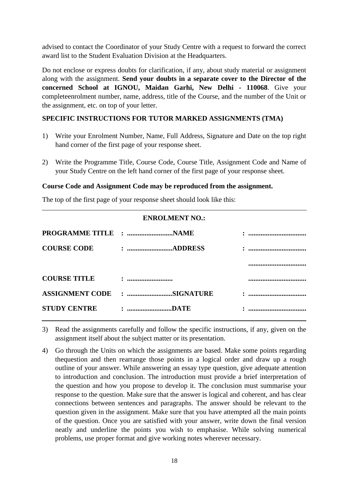advised to contact the Coordinator of your Study Centre with a request to forward the correct award list to the Student Evaluation Division at the Headquarters.

Do not enclose or express doubts for clarification, if any, about study material or assignment along with the assignment. **Send your doubts in a separate cover to the Director of the concerned School at IGNOU, Maidan Garhi, New Delhi - 110068**. Give your completeenrolment number, name, address, title of the Course, and the number of the Unit or the assignment, etc. on top of your letter.

#### **SPECIFIC INSTRUCTIONS FOR TUTOR MARKED ASSIGNMENTS (TMA)**

- 1) Write your Enrolment Number, Name, Full Address, Signature and Date on the top right hand corner of the first page of your response sheet.
- 2) Write the Programme Title, Course Code, Course Title, Assignment Code and Name of your Study Centre on the left hand corner of the first page of your response sheet.

#### **Course Code and Assignment Code may be reproduced from the assignment.**

The top of the first page of your response sheet should look like this:

| <b>ENROLMENT NO.:</b>  |             |        |  |  |
|------------------------|-------------|--------|--|--|
|                        |             | .<br>. |  |  |
| <b>COURSE CODE</b>     |             |        |  |  |
|                        |             |        |  |  |
| <b>COURSE TITLE</b>    |             |        |  |  |
| <b>ASSIGNMENT CODE</b> | : SIGNATURE | .<br>. |  |  |
| <b>STUDY CENTRE</b>    | : DATE      |        |  |  |

3) Read the assignments carefully and follow the specific instructions, if any, given on the assignment itself about the subject matter or its presentation.

4) Go through the Units on which the assignments are based. Make some points regarding thequestion and then rearrange those points in a logical order and draw up a rough outline of your answer. While answering an essay type question, give adequate attention to introduction and conclusion. The introduction must provide a brief interpretation of the question and how you propose to develop it. The conclusion must summarise your response to the question. Make sure that the answer is logical and coherent, and has clear connections between sentences and paragraphs. The answer should be relevant to the question given in the assignment. Make sure that you have attempted all the main points of the question. Once you are satisfied with your answer, write down the final version neatly and underline the points you wish to emphasise. While solving numerical problems, use proper format and give working notes wherever necessary.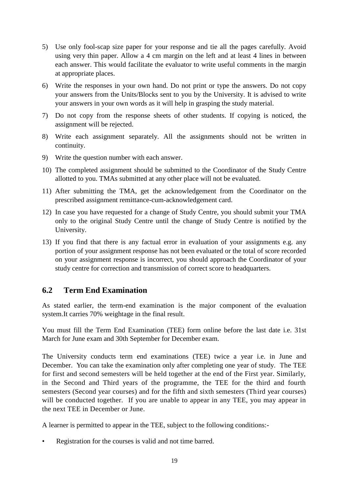- 5) Use only fool-scap size paper for your response and tie all the pages carefully. Avoid using very thin paper. Allow a 4 cm margin on the left and at least 4 lines in between each answer. This would facilitate the evaluator to write useful comments in the margin at appropriate places.
- 6) Write the responses in your own hand. Do not print or type the answers. Do not copy your answers from the Units/Blocks sent to you by the University. It is advised to write your answers in your own words as it will help in grasping the study material.
- 7) Do not copy from the response sheets of other students. If copying is noticed, the assignment will be rejected.
- 8) Write each assignment separately. All the assignments should not be written in continuity.
- 9) Write the question number with each answer.
- 10) The completed assignment should be submitted to the Coordinator of the Study Centre allotted to you. TMAs submitted at any other place will not be evaluated.
- 11) After submitting the TMA, get the acknowledgement from the Coordinator on the prescribed assignment remittance-cum-acknowledgement card.
- 12) In case you have requested for a change of Study Centre, you should submit your TMA only to the original Study Centre until the change of Study Centre is notified by the University.
- 13) If you find that there is any factual error in evaluation of your assignments e.g. any portion of your assignment response has not been evaluated or the total of score recorded on your assignment response is incorrect, you should approach the Coordinator of your study centre for correction and transmission of correct score to headquarters.

#### **6.2 Term End Examination**

As stated earlier, the term-end examination is the major component of the evaluation system.It carries 70% weightage in the final result.

You must fill the Term End Examination (TEE) form online before the last date i.e. 31st March for June exam and 30th September for December exam.

The University conducts term end examinations (TEE) twice a year i.e. in June and December. You can take the examination only after completing one year of study. The TEE for first and second semesters will be held together at the end of the First year. Similarly, in the Second and Third years of the programme, the TEE for the third and fourth semesters (Second year courses) and for the fifth and sixth semesters (Third year courses) will be conducted together. If you are unable to appear in any TEE, you may appear in the next TEE in December or June.

A learner is permitted to appear in the TEE, subject to the following conditions:-

Registration for the courses is valid and not time barred.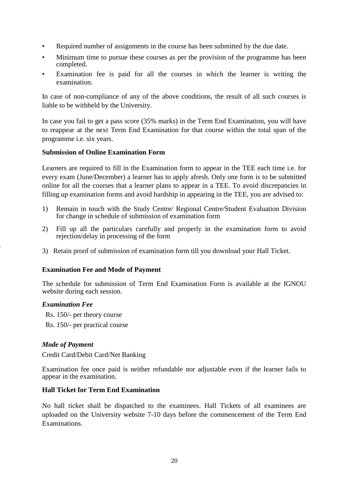- Required number of assignments in the course has been submitted by the due date.
- Minimum time to pursue these courses as per the provision of the programme has been completed.
- Examination fee is paid for all the courses in which the learner is writing the examination.

In case of non-compliance of any of the above conditions, the result of all such courses is liable to be withheld by the University.

In case you fail to get a pass score (35% marks) in the Term End Examination, you will have to reappear at the next Term End Examination for that course within the total span of the programme i.e. six years.

#### **Submission of Online Examination Form**

Learners are required to fill in the Examination form to appear in the TEE each time i.e. for every exam (June/December) a learner has to apply afresh. Only one form is to be submitted online for all the courses that a learner plans to appear in a TEE. To avoid discrepancies in filling up examination forms and avoid hardship in appearing in the TEE, you are advised to:

- 1) Remain in touch with the Study Centre/ Regional Centre/Student Evaluation Division for change in schedule of submission of examination form
- 2) Fill up all the particulars carefully and properly in the examination form to avoid rejection/delay in processing of the form
- 3) Retain proof of submission of examination form till you download your Hall Ticket.

#### **Examination Fee and Mode of Payment**

The schedule for submission of Term End Examination Form is available at the IGNOU website during each session.

#### *Examination Fee*

`

Rs. 150/- per theory course Rs. 150/- per practical course

#### *Mode of Payment*

Credit Card/Debit Card/Net Banking

Examination fee once paid is neither refundable nor adjustable even if the learner fails to appear in the examination.

#### **Hall Ticket for Term End Examination**

No hall ticket shall be dispatched to the examinees. Hall Tickets of all examinees are uploaded on the University website 7-10 days before the commencement of the Term End Examinations.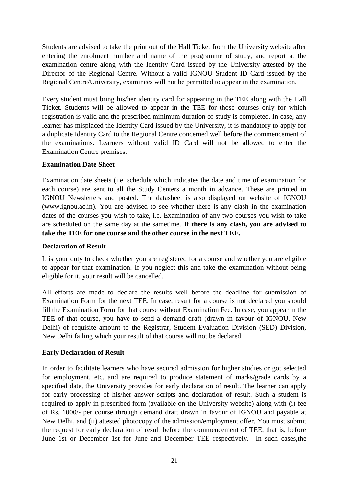Students are advised to take the print out of the Hall Ticket from the University website after entering the enrolment number and name of the programme of study, and report at the examination centre along with the Identity Card issued by the University attested by the Director of the Regional Centre. Without a valid IGNOU Student ID Card issued by the Regional Centre/University, examinees will not be permitted to appear in the examination.

Every student must bring his/her identity card for appearing in the TEE along with the Hall Ticket. Students will be allowed to appear in the TEE for those courses only for which registration is valid and the prescribed minimum duration of study is completed. In case, any learner has misplaced the Identity Card issued by the University, it is mandatory to apply for a duplicate Identity Card to the Regional Centre concerned well before the commencement of the examinations. Learners without valid ID Card will not be allowed to enter the Examination Centre premises.

#### **Examination Date Sheet**

Examination date sheets (i.e. schedule which indicates the date and time of examination for each course) are sent to all the Study Centers a month in advance. These are printed in IGNOU Newsletters and posted. The datasheet is also displayed on website of IGNOU (www.ignou.ac.in). You are advised to see whether there is any clash in the examination dates of the courses you wish to take, i.e. Examination of any two courses you wish to take are scheduled on the same day at the sametime. **If there is any clash, you are advised to take the TEE for one course and the other course in the next TEE.**

#### **Declaration of Result**

It is your duty to check whether you are registered for a course and whether you are eligible to appear for that examination. If you neglect this and take the examination without being eligible for it, your result will be cancelled.

All efforts are made to declare the results well before the deadline for submission of Examination Form for the next TEE. In case, result for a course is not declared you should fill the Examination Form for that course without Examination Fee. In case, you appear in the TEE of that course, you have to send a demand draft (drawn in favour of IGNOU, New Delhi) of requisite amount to the Registrar, Student Evaluation Division (SED) Division, New Delhi failing which your result of that course will not be declared.

#### **Early Declaration of Result**

In order to facilitate learners who have secured admission for higher studies or got selected for employment, etc. and are required to produce statement of marks/grade cards by a specified date, the University provides for early declaration of result. The learner can apply for early processing of his/her answer scripts and declaration of result. Such a student is required to apply in prescribed form (available on the University website) along with (i) fee of Rs. 1000/- per course through demand draft drawn in favour of IGNOU and payable at New Delhi, and (ii) attested photocopy of the admission/employment offer. You must submit the request for early declaration of result before the commencement of TEE, that is, before June 1st or December 1st for June and December TEE respectively. In such cases,the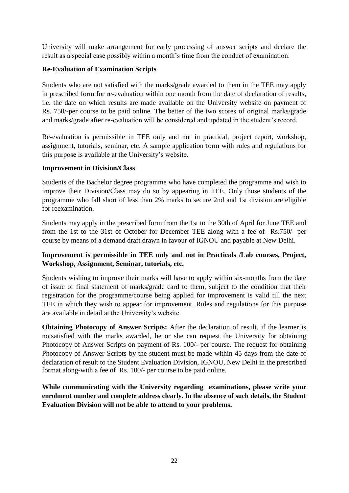University will make arrangement for early processing of answer scripts and declare the result as a special case possibly within a month's time from the conduct of examination.

#### **Re-Evaluation of Examination Scripts**

Students who are not satisfied with the marks/grade awarded to them in the TEE may apply in prescribed form for re-evaluation within one month from the date of declaration of results, i.e. the date on which results are made available on the University website on payment of Rs. 750/-per course to be paid online. The better of the two scores of original marks/grade and marks/grade after re-evaluation will be considered and updated in the student's record.

Re-evaluation is permissible in TEE only and not in practical, project report, workshop, assignment, tutorials, seminar, etc. A sample application form with rules and regulations for this purpose is available at the University's website.

#### **Improvement in Division/Class**

Students of the Bachelor degree programme who have completed the programme and wish to improve their Division/Class may do so by appearing in TEE. Only those students of the programme who fall short of less than 2% marks to secure 2nd and 1st division are eligible for reexamination.

Students may apply in the prescribed form from the 1st to the 30th of April for June TEE and from the 1st to the 31st of October for December TEE along with a fee of Rs.750/- per course by means of a demand draft drawn in favour of IGNOU and payable at New Delhi.

#### **Improvement is permissible in TEE only and not in Practicals /Lab courses, Project, Workshop, Assignment, Seminar, tutorials, etc.**

Students wishing to improve their marks will have to apply within six-months from the date of issue of final statement of marks/grade card to them, subject to the condition that their registration for the programme/course being applied for improvement is valid till the next TEE in which they wish to appear for improvement. Rules and regulations for this purpose are available in detail at the University's website.

**Obtaining Photocopy of Answer Scripts:** After the declaration of result, if the learner is notsatisfied with the marks awarded, he or she can request the University for obtaining Photocopy of Answer Scripts on payment of Rs. 100/- per course. The request for obtaining Photocopy of Answer Scripts by the student must be made within 45 days from the date of declaration of result to the Student Evaluation Division, IGNOU, New Delhi in the prescribed format along-with a fee of Rs. 100/- per course to be paid online.

**While communicating with the University regarding examinations, please write your enrolment number and complete address clearly. In the absence of such details, the Student Evaluation Division will not be able to attend to your problems.**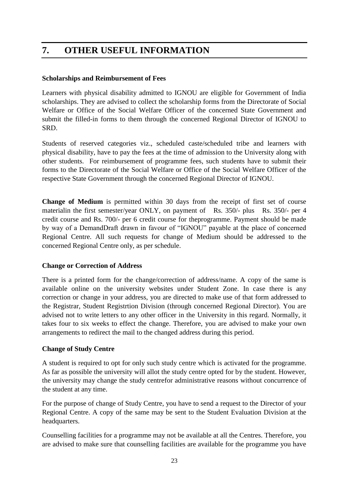# **7. OTHER USEFUL INFORMATION**

#### **Scholarships and Reimbursement of Fees**

Learners with physical disability admitted to IGNOU are eligible for Government of India scholarships. They are advised to collect the scholarship forms from the Directorate of Social Welfare or Office of the Social Welfare Officer of the concerned State Government and submit the filled-in forms to them through the concerned Regional Director of IGNOU to SRD.

Students of reserved categories viz., scheduled caste/scheduled tribe and learners with physical disability, have to pay the fees at the time of admission to the University along with other students. For reimbursement of programme fees, such students have to submit their forms to the Directorate of the Social Welfare or Office of the Social Welfare Officer of the respective State Government through the concerned Regional Director of IGNOU.

**Change of Medium** is permitted within 30 days from the receipt of first set of course materialin the first semester/year ONLY, on payment of Rs. 350/- plus Rs. 350/- per 4 credit course and Rs. 700/- per 6 credit course for theprogramme. Payment should be made by way of a DemandDraft drawn in favour of "IGNOU" payable at the place of concerned Regional Centre. All such requests for change of Medium should be addressed to the concerned Regional Centre only, as per schedule.

#### **Change or Correction of Address**

There is a printed form for the change/correction of address/name. A copy of the same is available online on the university websites under Student Zone. In case there is any correction or change in your address, you are directed to make use of that form addressed to the Registrar, Student Registrtion Division (through concerned Regional Director). You are advised not to write letters to any other officer in the University in this regard. Normally, it takes four to six weeks to effect the change. Therefore, you are advised to make your own arrangements to redirect the mail to the changed address during this period.

#### **Change of Study Centre**

A student is required to opt for only such study centre which is activated for the programme. As far as possible the university will allot the study centre opted for by the student. However, the university may change the study centrefor administrative reasons without concurrence of the student at any time.

For the purpose of change of Study Centre, you have to send a request to the Director of your Regional Centre. A copy of the same may be sent to the Student Evaluation Division at the headquarters.

Counselling facilities for a programme may not be available at all the Centres. Therefore, you are advised to make sure that counselling facilities are available for the programme you have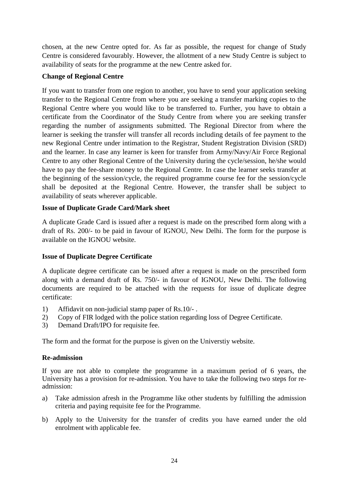chosen, at the new Centre opted for. As far as possible, the request for change of Study Centre is considered favourably. However, the allotment of a new Study Centre is subject to availability of seats for the programme at the new Centre asked for.

#### **Change of Regional Centre**

If you want to transfer from one region to another, you have to send your application seeking transfer to the Regional Centre from where you are seeking a transfer marking copies to the Regional Centre where you would like to be transferred to. Further, you have to obtain a certificate from the Coordinator of the Study Centre from where you are seeking transfer regarding the number of assignments submitted. The Regional Director from where the learner is seeking the transfer will transfer all records including details of fee payment to the new Regional Centre under intimation to the Registrar, Student Registration Division (SRD) and the learner. In case any learner is keen for transfer from Army/Navy/Air Force Regional Centre to any other Regional Centre of the University during the cycle/session, he/she would have to pay the fee-share money to the Regional Centre. In case the learner seeks transfer at the beginning of the session/cycle, the required programme course fee for the session/cycle shall be deposited at the Regional Centre. However, the transfer shall be subject to availability of seats wherever applicable.

#### **Issue of Duplicate Grade Card/Mark sheet**

A duplicate Grade Card is issued after a request is made on the prescribed form along with a draft of Rs. 200/- to be paid in favour of IGNOU, New Delhi. The form for the purpose is available on the IGNOU website.

#### **Issue of Duplicate Degree Certificate**

A duplicate degree certificate can be issued after a request is made on the prescribed form along with a demand draft of Rs. 750/- in favour of IGNOU, New Delhi. The following documents are required to be attached with the requests for issue of duplicate degree certificate:

- 1) Affidavit on non-judicial stamp paper of Rs.10/- .
- 2) Copy of FIR lodged with the police station regarding loss of Degree Certificate.
- 3) Demand Draft/IPO for requisite fee.

The form and the format for the purpose is given on the Universtiy website.

#### **Re-admission**

If you are not able to complete the programme in a maximum period of 6 years, the University has a provision for re-admission. You have to take the following two steps for readmission:

- a) Take admission afresh in the Programme like other students by fulfilling the admission criteria and paying requisite fee for the Programme.
- b) Apply to the University for the transfer of credits you have earned under the old enrolment with applicable fee.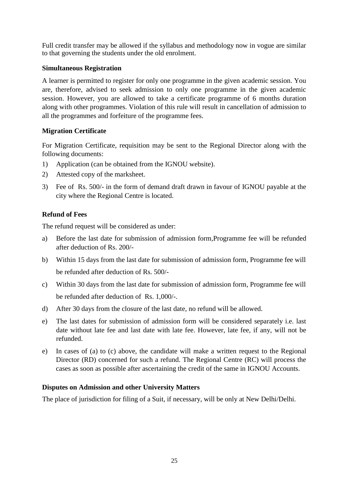Full credit transfer may be allowed if the syllabus and methodology now in vogue are similar to that governing the students under the old enrolment.

#### **Simultaneous Registration**

A learner is permitted to register for only one programme in the given academic session. You are, therefore, advised to seek admission to only one programme in the given academic session. However, you are allowed to take a certificate programme of 6 months duration along with other programmes. Violation of this rule will result in cancellation of admission to all the programmes and forfeiture of the programme fees.

#### **Migration Certificate**

For Migration Certificate, requisition may be sent to the Regional Director along with the following documents:

- 1) Application (can be obtained from the IGNOU website).
- 2) Attested copy of the marksheet.
- 3) Fee of Rs. 500/- in the form of demand draft drawn in favour of IGNOU payable at the city where the Regional Centre is located.

#### **Refund of Fees**

The refund request will be considered as under:

- a) Before the last date for submission of admission form,Programme fee will be refunded after deduction of Rs. 200/-
- b) Within 15 days from the last date for submission of admission form, Programme fee will be refunded after deduction of Rs. 500/-
- c) Within 30 days from the last date for submission of admission form, Programme fee will be refunded after deduction of Rs. 1,000/-.
- d) After 30 days from the closure of the last date, no refund will be allowed.
- e) The last dates for submission of admission form will be considered separately i.e. last date without late fee and last date with late fee. However, late fee, if any, will not be refunded.
- e) In cases of (a) to (c) above, the candidate will make a written request to the Regional Director (RD) concerned for such a refund. The Regional Centre (RC) will process the cases as soon as possible after ascertaining the credit of the same in IGNOU Accounts.

#### **Disputes on Admission and other University Matters**

The place of jurisdiction for filing of a Suit, if necessary, will be only at New Delhi/Delhi.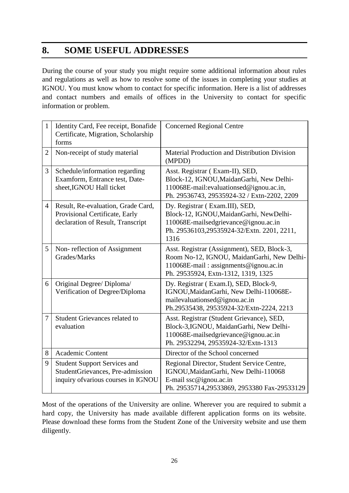# **8. SOME USEFUL ADDRESSES**

During the course of your study you might require some additional information about rules and regulations as well as how to resolve some of the issues in completing your studies at IGNOU. You must know whom to contact for specific information. Here is a list of addresses and contact numbers and emails of offices in the University to contact for specific information or problem.

| $\mathbf{1}$   | Identity Card, Fee receipt, Bonafide<br>Certificate, Migration, Scholarship<br>forms                           | <b>Concerned Regional Centre</b>                                                                                                                                          |
|----------------|----------------------------------------------------------------------------------------------------------------|---------------------------------------------------------------------------------------------------------------------------------------------------------------------------|
| $\overline{2}$ | Non-receipt of study material                                                                                  | Material Production and Distribution Division<br>(MPDD)                                                                                                                   |
| 3              | Schedule/information regarding<br>Examform, Entrance test, Date-<br>sheet, IGNOU Hall ticket                   | Asst. Registrar (Exam-II), SED,<br>Block-12, IGNOU, Maidan Garhi, New Delhi-<br>110068E-mail:evaluationsed@ignou.ac.in,<br>Ph. 29536743, 29535924-32 / Extn-2202, 2209    |
| $\overline{4}$ | Result, Re-evaluation, Grade Card,<br>Provisional Certificate, Early<br>declaration of Result, Transcript      | Dy. Registrar (Exam.III), SED,<br>Block-12, IGNOU, MaidanGarhi, NewDelhi-<br>110068E-mailsedgrievance@ignou.ac.in<br>Ph. 29536103,29535924-32/Extn. 2201, 2211,<br>1316   |
| 5              | Non-reflection of Assignment<br>Grades/Marks                                                                   | Asst. Registrar (Assignment), SED, Block-3,<br>Room No-12, IGNOU, MaidanGarhi, New Delhi-<br>110068E-mail: assignments@ignou.ac.in<br>Ph. 29535924, Extn-1312, 1319, 1325 |
| 6              | Original Degree/ Diploma/<br>Verification of Degree/Diploma                                                    | Dy. Registrar (Exam.I), SED, Block-9,<br>IGNOU, Maidan Garhi, New Delhi-110068E-<br>mailevaluationsed@ignou.ac.in<br>Ph.29535438, 29535924-32/Extn-2224, 2213             |
| 7              | <b>Student Grievances related to</b><br>evaluation                                                             | Asst. Registrar (Student Grievance), SED,<br>Block-3,IGNOU, MaidanGarhi, New Delhi-<br>110068E-mailsedgrievance@ignou.ac.in<br>Ph. 29532294, 29535924-32/Extn-1313        |
| 8              | <b>Academic Content</b>                                                                                        | Director of the School concerned                                                                                                                                          |
| 9              | <b>Student Support Services and</b><br>StudentGrievances, Pre-admission<br>inquiry of various courses in IGNOU | Regional Director, Student Service Centre,<br>IGNOU, Maidan Garhi, New Delhi-110068<br>E-mail ssc@ignou.ac.in<br>Ph. 29535714,29533869, 2953380 Fax-29533129              |

Most of the operations of the University are online. Wherever you are required to submit a hard copy, the University has made available different application forms on its website. Please download these forms from the Student Zone of the University website and use them diligently.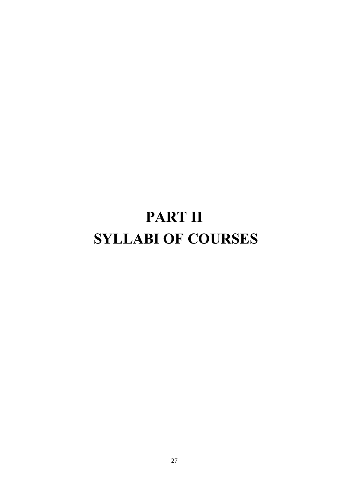# **PART II SYLLABI OF COURSES**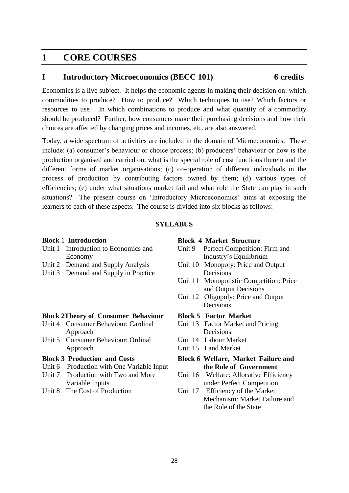# **1 CORE COURSES**

#### **I Introductory Microeconomics (BECC 101) 6 credits**

Economics is a live subject. It helps the economic agents in making their decision on: which commodities to produce? How to produce? Which techniques to use? Which factors or resources to use? In which combinations to produce and what quantity of a commodity should be produced? Further, how consumers make their purchasing decisions and how their choices are affected by changing prices and incomes, etc. are also answered.

Today, a wide spectrum of activities are included in the domain of Microeconomics. These include: (a) consumer's behaviour or choice process; (b) producers' behaviour or how is the production organised and carried on, what is the special role of cost functions therein and the different forms of market organisations; (c) co-operation of different individuals in the process of production by contributing factors owned by them; (d) various types of efficiencies; (e) under what situations market fail and what role the State can play in such situations? The present course on 'Introductory Microeconomics' aims at exposing the learners to each of these aspects. The course is divided into six blocks as follows:

#### **SYLLABUS**

#### **Block** 1 **Introduction**

- Unit 1 Introduction to Economics and Economy
- Unit 2 Demand and Supply Analysis
- Unit 3 Demand and Supply in Practice

#### **Block 2Theory of Consumer Behaviour**

- Unit 4 Consumer Behaviour: Cardinal Approach
- Unit 5 Consumer Behaviour: Ordinal Approach

#### **Block 3 Production and Costs**

- Unit 6 Production with One Variable Input
- Unit 7 Production with Two and More Variable Inputs
- Unit 8 The Cost of Production

#### **Block 4 Market Structure**

- Unit 9 Perfect Competition: Firm and Industry's Equilibrium
- Unit 10 Monopoly: Price and Output Decisions
- Unit 11 Monopolistic Competition: Price and Output Decisions
- Unit 12 Oligopoly: Price and Output Decisions

#### **Block 5 Factor Market**

- Unit 13 Factor Market and Pricing Decisions
- Unit 14 Labour Market
- Unit 15 Land Market

#### **Block 6 Welfare, Market Failure and the Role of Government**

- Unit 16 Welfare: Allocative Efficiency under Perfect Competition
- Unit 17 Efficiency of the Market Mechanism: Market Failure and the Role of the State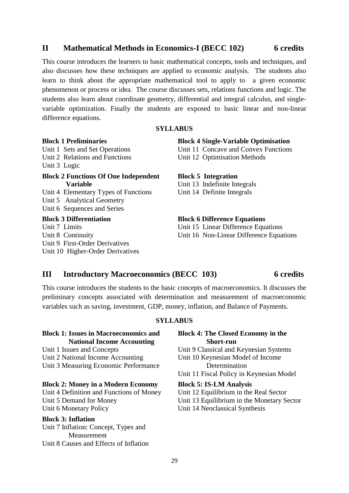#### **II Mathematical Methods in Economics-I (BECC 102) 6 credits**

This course introduces the learners to basic mathematical concepts, tools and techniques, and also discusses how these techniques are applied to economic analysis. The students also learn to think about the appropriate mathematical tool to apply to a given economic phenomenon or process or idea. The course discusses sets, relations functions and logic. The students also learn about coordinate geometry, differential and integral calculus, and singlevariable optimization. Finally the students are exposed to basic linear and non-linear difference equations.

#### **SYLLABUS**

#### **Block 1 Preliminaries**

Unit 1 Sets and Set Operations Unit 2 Relations and Functions Unit 3 Logic

#### **Block 2 Functions Of One Independent Variable**

Unit 4 Elementary Types of Functions Unit 5 Analytical Geometry Unit 6 Sequences and Series

#### **Block 3 Differentiation**

Unit 7 Limits Unit 8 Continuity Unit 9 First-Order Derivatives Unit 10 Higher-Order Derivatives

#### **Block 4 Single-Variable Optimisation**

Unit 11 Concave and Convex Functions Unit 12 Optimisation Methods

#### **Block 5 Integration**

Unit 13 Indefinite Integrals Unit 14 Definite Integrals

#### **Block 6 Difference Equations**

Unit 15 Linear Difference Equations Unit 16 Non-Linear Difference Equations

#### **III Introductory Macroeconomics (BECC 103) 6 credits**

#### This course introduces the students to the basic concepts of macroeconomics. It discusses the preliminary concepts associated with determination and measurement of macroeconomic variables such as saving, investment, GDP, money, inflation, and Balance of Payments.

#### **SYLLABUS**

#### **Block 1: Issues in Macroeconomics and National Income Accounting**

Unit 1 Issues and Concepts Unit 2 National Income Accounting Unit 3 Measuring Economic Performance

#### **Block 2: Money in a Modern Economy**

Unit 4 Definition and Functions of Money Unit 5 Demand for Money Unit 6 Monetary Policy

#### **Block 3: Inflation**

Unit 7 Inflation: Concept, Types and Measurement Unit 8 Causes and Effects of Inflation

#### **Block 4: The Closed Economy in the Short-run**

Unit 9 Classical and Keynesian Systems

Unit 10 Keynesian Model of Income Determination

Unit 11 Fiscal Policy in Keynesian Model

#### **Block 5: IS-LM Analysis**

Unit 12 Equilibrium in the Real Sector

Unit 13 Equilibrium in the Monetary Sector

Unit 14 Neoclassical Synthesis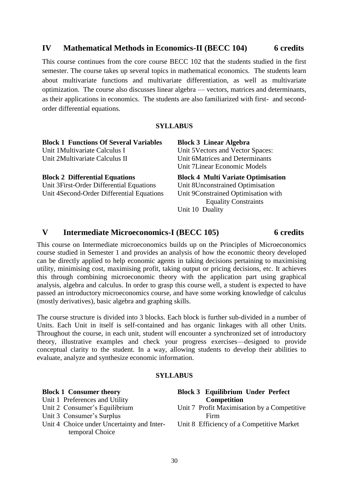#### **IV Mathematical Methods in Economics-II (BECC 104) 6 credits**

This course continues from the core course BECC 102 that the students studied in the first semester. The course takes up several topics in mathematical economics. The students learn about multivariate functions and multivariate differentiation, as well as multivariate optimization. The course also discusses linear algebra — vectors, matrices and determinants, as their applications in economics. The students are also familiarized with first- and secondorder differential equations.

#### **SYLLABUS**

| <b>Block 1 Functions Of Several Variables</b> | <b>Block 3 Linear Algebra</b>             |
|-----------------------------------------------|-------------------------------------------|
| Unit 1 Multivariate Calculus I                | Unit 5 Vectors and Vector Spaces:         |
| Unit 2Multivariate Calculus II                | Unit 6Matrices and Determinants           |
|                                               | Unit 7 Linear Economic Models             |
| <b>Block 2 Differential Equations</b>         | <b>Block 4 Multi Variate Optimisation</b> |
| Unit 3 First-Order Differential Equations     | Unit 8Unconstrained Optimisation          |
| Unit 4Second-Order Differential Equations     | Unit 9Constrained Optimisation with       |
|                                               | <b>Equality Constraints</b>               |
|                                               | Unit 10 Duality                           |

#### **V Intermediate Microeconomics-I (BECC 105) 6 credits**

This course on Intermediate microeconomics builds up on the Principles of Microeconomics course studied in Semester 1 and provides an analysis of how the economic theory developed can be directly applied to help economic agents in taking decisions pertaining to maximising utility, minimising cost, maximising profit, taking output or pricing decisions, etc. It achieves this through combining microeconomic theory with the application part using graphical analysis, algebra and calculus. In order to grasp this course well, a student is expected to have passed an introductory microeconomics course, and have some working knowledge of calculus (mostly derivatives), basic algebra and graphing skills.

The course structure is divided into 3 blocks. Each block is further sub-divided in a number of Units. Each Unit in itself is self-contained and has organic linkages with all other Units. Throughout the course, in each unit, student will encounter a synchronized set of introductory theory, illustrative examples and check your progress exercises—designed to provide conceptual clarity to the student. In a way, allowing students to develop their abilities to evaluate, analyze and synthesize economic information.

#### **SYLLABUS**

| <b>Block 1 Consumer theory</b>             | <b>Block 3 Equilibrium Under Perfect</b>    |
|--------------------------------------------|---------------------------------------------|
| Unit 1 Preferences and Utility             | <b>Competition</b>                          |
| Unit 2 Consumer's Equilibrium              | Unit 7 Profit Maximisation by a Competitive |
| Unit 3 Consumer's Surplus                  | Firm                                        |
| Unit 4 Choice under Uncertainty and Inter- | Unit 8 Efficiency of a Competitive Market   |
| temporal Choice                            |                                             |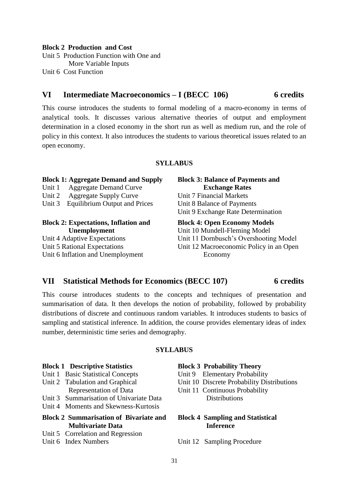#### **Block 2 Production and Cost**

Unit 5 Production Function with One and More Variable Inputs Unit 6 Cost Function

#### **VI Intermediate Macroeconomics – I (BECC 106) 6 credits**

### This course introduces the students to formal modeling of a macro-economy in terms of analytical tools. It discusses various alternative theories of output and employment determination in a closed economy in the short run as well as medium run, and the role of policy in this context. It also introduces the students to various theoretical issues related to an open economy.

#### **SYLLABUS**

#### **Block 1: Aggregate Demand and Supply** Unit 1 Aggregate Demand Curve Unit 2 Aggregate Supply Curve Unit 3 Equilibrium Output and Prices **Block 3: Balance of Payments and Exchange Rates** Unit 7 Financial Markets Unit 8 Balance of Payments Unit 9 Exchange Rate Determination **Block 2: Expectations, Inflation and Unemployment** Unit 4 Adaptive Expectations Unit 5 Rational Expectations Unit 6 Inflation and Unemployment **Block 4: Open Economy Models** Unit 10 Mundell-Fleming Model Unit 11 Dornbusch's Overshooting Model Unit 12 Macroeconomic Policy in an Open Economy

#### **VII Statistical Methods for Economics (BECC 107) 6 credits**

This course introduces students to the concepts and techniques of presentation and summarisation of data. It then develops the notion of probability, followed by probability distributions of discrete and continuous random variables. It introduces students to basics of sampling and statistical inference. In addition, the course provides elementary ideas of index number, deterministic time series and demography.

#### **SYLLABUS**

#### **Block 1 Descriptive Statistics**

- Unit 1 Basic Statistical Concepts
- Unit 2 Tabulation and Graphical Representation of Data
- Unit 3 Summarisation of Univariate Data
- Unit 4 Moments and Skewness-Kurtosis

#### **Block 2 Summarisation of Bivariate and Multivariate Data**

Unit 5 Correlation and Regression

#### Unit 6 Index Numbers

#### **Block 3 Probability Theory**

Unit 9 Elementary Probability

- Unit 10 Discrete Probability Distributions
- Unit 11 Continuous Probability Distributions

#### **Block 4 Sampling and Statistical Inference**

Unit 12 Sampling Procedure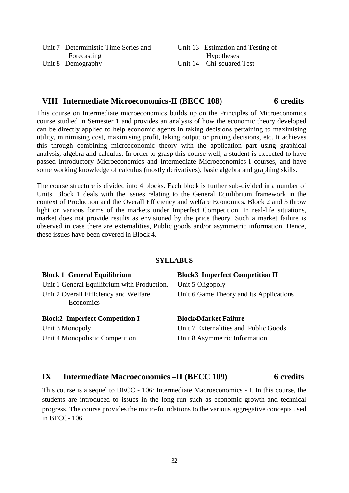| Unit 7 Deterministic Time Series and | Unit 13 Estimation and Testing of |
|--------------------------------------|-----------------------------------|
| Forecasting                          | <b>Hypotheses</b>                 |
| Unit 8 Demography                    | Unit 14 Chi-squared Test          |

#### **VIII Intermediate Microeconomics-II (BECC 108) 6 credits**

This course on Intermediate microeconomics builds up on the Principles of Microeconomics course studied in Semester 1 and provides an analysis of how the economic theory developed can be directly applied to help economic agents in taking decisions pertaining to maximising utility, minimising cost, maximising profit, taking output or pricing decisions, etc. It achieves this through combining microeconomic theory with the application part using graphical analysis, algebra and calculus. In order to grasp this course well, a student is expected to have passed Introductory Microeconomics and Intermediate Microeconomics-I courses, and have some working knowledge of calculus (mostly derivatives), basic algebra and graphing skills.

The course structure is divided into 4 blocks. Each block is further sub-divided in a number of Units. Block 1 deals with the issues relating to the General Equilibrium framework in the context of Production and the Overall Efficiency and welfare Economics. Block 2 and 3 throw light on various forms of the markets under Imperfect Competition. In real-life situations, market does not provide results as envisioned by the price theory. Such a market failure is observed in case there are externalities, Public goods and/or asymmetric information. Hence, these issues have been covered in Block 4.

#### **SYLLABUS**

| <b>Block 1 General Equilibrium</b>                 | <b>Block3</b> Imperfect Competition II  |
|----------------------------------------------------|-----------------------------------------|
| Unit 1 General Equilibrium with Production.        | Unit 5 Oligopoly                        |
| Unit 2 Overall Efficiency and Welfare<br>Economics | Unit 6 Game Theory and its Applications |
| <b>Block2</b> Imperfect Competition I              | <b>Block4Market Failure</b>             |
| Unit 3 Monopoly                                    | Unit 7 Externalities and Public Goods   |
| Unit 4 Monopolistic Competition                    | Unit 8 Asymmetric Information           |

#### **IX Intermediate Macroeconomics –II (BECC 109) 6 credits**

This course is a sequel to BECC - 106: Intermediate Macroeconomics - I. In this course, the students are introduced to issues in the long run such as economic growth and technical progress. The course provides the micro-foundations to the various aggregative concepts used in BECC- 106.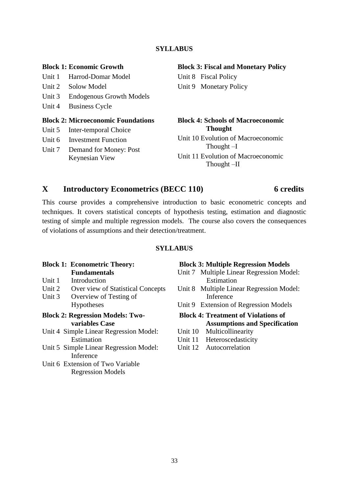#### **SYLLABUS**

#### **Block 1: Economic Growth**

Unit 1 Harrod-Domar Model

- Unit 2 Solow Model
- Unit 3 Endogenous Growth Models
- Unit 4 Business Cycle

#### **Block 2: Microeconomic Foundations**

- Unit 5 Inter-temporal Choice
- Unit 6 Investment Function
- Unit 7 Demand for Money: Post Keynesian View

#### **Block 3: Fiscal and Monetary Policy**

Unit 8 Fiscal Policy Unit 9 Monetary Policy

#### **Block 4: Schools of Macroeconomic Thought**

Unit 10 Evolution of Macroeconomic Thought –I

Unit 11 Evolution of Macroeconomic Thought –II

#### **X Introductory Econometrics (BECC 110) 6 credits**

### This course provides a comprehensive introduction to basic econometric concepts and techniques. It covers statistical concepts of hypothesis testing, estimation and diagnostic testing of simple and multiple regression models. The course also covers the consequences of violations of assumptions and their detection/treatment.

#### **SYLLABUS**

#### **Block 1: Econometric Theory: Fundamentals**

- Unit 1 Introduction
- Unit 2 Over view of Statistical Concepts
- Unit 3 Overview of Testing of Hypotheses
- **Block 2: Regression Models: Twovariables Case**
- Unit 4 Simple Linear Regression Model: Estimation
- Unit 5 Simple Linear Regression Model: Inference
- Unit 6 Extension of Two Variable Regression Models

#### **Block 3: Multiple Regression Models**

- Unit 7 Multiple Linear Regression Model: Estimation
- Unit 8 Multiple Linear Regression Model: Inference
- Unit 9 Extension of Regression Models

#### **Block 4: Treatment of Violations of Assumptions and Specification**

- Unit 10 Multicollinearity
- Unit 11 Heteroscedasticity
- Unit 12 Autocorrelation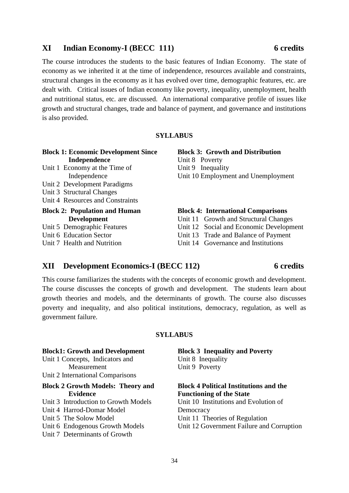#### **XI Indian Economy-I (BECC 111) 6 credits**

The course introduces the students to the basic features of Indian Economy. The state of economy as we inherited it at the time of independence, resources available and constraints, structural changes in the economy as it has evolved over time, demographic features, etc. are dealt with. Critical issues of Indian economy like poverty, inequality, unemployment, health and nutritional status, etc. are discussed. An international comparative profile of issues like growth and structural changes, trade and balance of payment, and governance and institutions is also provided.

#### **SYLLABUS**

|              | <b>Block 1: Economic Development Since</b> |  |              |  |  |
|--------------|--------------------------------------------|--|--------------|--|--|
| Independence |                                            |  |              |  |  |
| TT *. 4 T    |                                            |  | $\mathbf{r}$ |  |  |

- Unit 1 Economy at the Time of Independence
- Unit 2 Development Paradigms
- Unit 3 Structural Changes
- Unit 4 Resources and Constraints

#### **Block 2: Population and Human Development**

- Unit 5 Demographic Features
- Unit 6 Education Sector
- Unit 7 Health and Nutrition

**Block 3: Growth and Distribution** Unit 8 Poverty Unit 9 Inequality Unit 10 Employment and Unemployment

#### **Block 4: International Comparisons**

- Unit 11 Growth and Structural Changes
- Unit 12 Social and Economic Development
- Unit 13 Trade and Balance of Payment
- Unit 14 Governance and Institutions

#### **XII Development Economics-I (BECC 112) 6 credits**

This course familiarizes the students with the concepts of economic growth and development. The course discusses the concepts of growth and development. The students learn about growth theories and models, and the determinants of growth. The course also discusses poverty and inequality, and also political institutions, democracy, regulation, as well as government failure.

#### **SYLLABUS**

| <b>Block1: Growth and Development</b>    | <b>Block 3 Inequality and Poverty</b>         |
|------------------------------------------|-----------------------------------------------|
| Unit 1 Concepts, Indicators and          | Unit 8 Inequality                             |
| Measurement                              | Unit 9 Poverty                                |
| Unit 2 International Comparisons         |                                               |
| <b>Block 2 Growth Models: Theory and</b> | <b>Block 4 Political Institutions and the</b> |
| <b>Evidence</b>                          | <b>Functioning of the State</b>               |
| Unit 3 Introduction to Growth Models     | Unit 10 Institutions and Evolution of         |
| Unit 4 Harrod-Domar Model                | Democracy                                     |
| Unit 5 The Solow Model                   | Unit 11 Theories of Regulation                |
| Unit 6 Endogenous Growth Models          | Unit 12 Government Failure and Corruption     |
| Unit 7 Determinants of Growth            |                                               |
|                                          |                                               |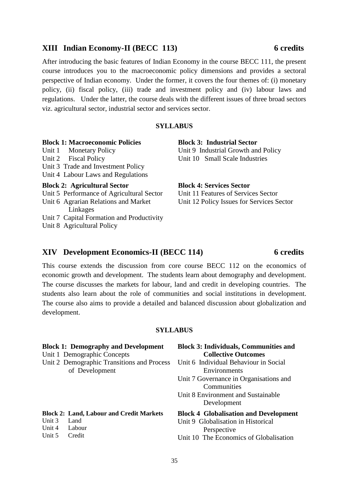#### **XIII Indian Economy-II (BECC 113) 6 credits**

After introducing the basic features of Indian Economy in the course BECC 111, the present course introduces you to the macroeconomic policy dimensions and provides a sectoral perspective of Indian economy. Under the former, it covers the four themes of: (i) monetary policy, (ii) fiscal policy, (iii) trade and investment policy and (iv) labour laws and regulations. Under the latter, the course deals with the different issues of three broad sectors viz. agricultural sector, industrial sector and services sector.

#### **SYLLABUS**

**Block 1: Macroeconomic Policies** Unit 1 Monetary Policy Unit 2 Fiscal Policy Unit 3 Trade and Investment Policy Unit 4 Labour Laws and Regulations **Block 2: Agricultural Sector**  Unit 5 Performance of Agricultural Sector Unit 6 Agrarian Relations and Market Linkages Unit 7 Capital Formation and Productivity

Unit 8 Agricultural Policy

**Block 3: Industrial Sector** Unit 9 Industrial Growth and Policy Unit 10 Small Scale Industries

**Block 4: Services Sector**

Unit 11 Features of Services Sector Unit 12 Policy Issues for Services Sector

#### **XIV Development Economics-II (BECC 114) 6 credits**

This course extends the discussion from core course BECC 112 on the economics of economic growth and development. The students learn about demography and development. The course discusses the markets for labour, land and credit in developing countries. The students also learn about the role of communities and social institutions in development. The course also aims to provide a detailed and balanced discussion about globalization and development.

#### **SYLLABUS**

|        | <b>Block 1: Demography and Development</b>      | <b>Block 3: Individuals, Communities and</b> |  |  |
|--------|-------------------------------------------------|----------------------------------------------|--|--|
|        | Unit 1 Demographic Concepts                     | <b>Collective Outcomes</b>                   |  |  |
|        | Unit 2 Demographic Transitions and Process      | Unit 6 Individual Behaviour in Social        |  |  |
|        | of Development                                  | Environments                                 |  |  |
|        |                                                 | Unit 7 Governance in Organisations and       |  |  |
|        |                                                 | Communities                                  |  |  |
|        |                                                 | Unit 8 Environment and Sustainable           |  |  |
|        |                                                 | Development                                  |  |  |
|        | <b>Block 2: Land, Labour and Credit Markets</b> | <b>Block 4 Globalisation and Development</b> |  |  |
| Unit 3 | Land                                            | Unit 9 Globalisation in Historical           |  |  |
| Unit 4 | Labour                                          | Perspective                                  |  |  |
| Unit 5 | Credit                                          | Unit 10 The Economics of Globalisation       |  |  |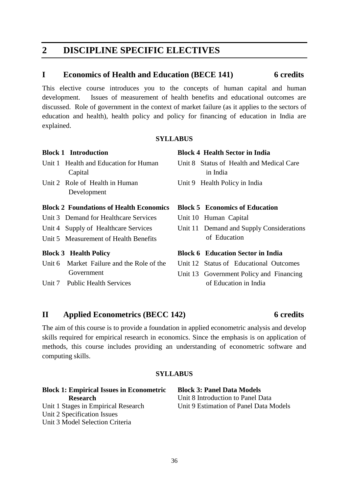# **2 DISCIPLINE SPECIFIC ELECTIVES**

#### **I Economics of Health and Education (BECE 141) 6 credits**

This elective course introduces you to the concepts of human capital and human development. Issues of measurement of health benefits and educational outcomes are discussed. Role of government in the context of market failure (as it applies to the sectors of education and health), health policy and policy for financing of education in India are explained.

#### **SYLLABUS**

#### **Block 1 Introduction**

- Unit 1 Health and Education for Human Capital
- Unit 2 Role of Health in Human Development

#### **Block 2 Foundations of Health Economics**

- Unit 3 Demand for Healthcare Services
- Unit 4 Supply of Healthcare Services
- Unit 5 Measurement of Health Benefits

#### **Block 3 Health Policy**

- Unit 6 Market Failure and the Role of the Government
- Unit 7 Public Health Services

#### **Block 4 Health Sector in India**

- Unit 8 Status of Health and Medical Care in India
- Unit 9 Health Policy in India

#### **Block 5 Economics of Education**

- Unit 10 Human Capital
- Unit 11 Demand and Supply Considerations of Education

#### **Block 6 Education Sector in India**

- Unit 12 Status of Educational Outcomes
- Unit 13 Government Policy and Financing of Education in India

#### **II Applied Econometrics (BECC 142) 6 credits**

The aim of this course is to provide a foundation in applied econometric analysis and develop skills required for empirical research in economics. Since the emphasis is on application of methods, this course includes providing an understanding of econometric software and computing skills.

#### **SYLLABUS**

#### **Block 1: Empirical Issues in Econometric Research**  Unit 1 Stages in Empirical Research Unit 2 Specification Issues Unit 3 Model Selection Criteria

**Block 3: Panel Data Models** Unit 8 Introduction to Panel Data Unit 9 Estimation of Panel Data Models

#### 36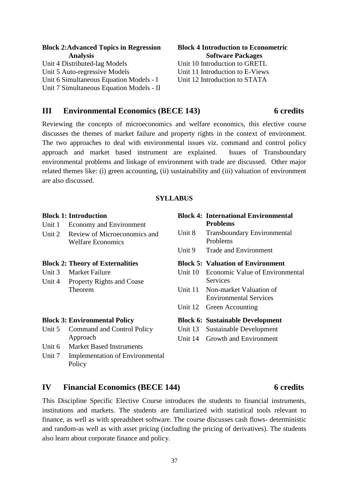#### **Block 2:Advanced Topics in Regression Analysis** Unit 4 Distributed-lag Models **Block 4 Introduction to Econometric**  Unit 10 Introduction to GRETL Unit 11 Introduction to E-Views

Unit 5 Auto-regressive Models Unit 6 Simultaneous Equation Models - I Unit 7 Simultaneous Equation Models - II

# **III Environmental Economics (BECE 143) 6 credits**

Reviewing the concepts of microeconomics and welfare economics, this elective course discusses the themes of market failure and property rights in the context of environment. The two approaches to deal with environmental issues viz. command and control policy approach and market based instrument are explained. Issues of Transboundary environmental problems and linkage of environment with trade are discussed. Other major related themes like: (i) green accounting, (ii) sustainability and (iii) valuation of environment are also discussed.

#### **SYLLABUS**

#### Unit 1 Economy and Environment Unit 2 Review of Microeconomics and Welfare Economics **Problems** Problems **Block 2: Theory of Externalities** Unit 3 Market Failure Unit 4 Property Rights and Coase Theorem **Services**

### **Block 3: Environmental Policy**

**Block 1: Introduction**

- Unit 5 Command and Control Policy Approach
- Unit 6 Market Based Instruments
- Unit 7 Implementation of Environmental Policy
- Environmental Services

# **IV Financial Economics (BECE 144) 6 credits**

This Discipline Specific Elective Course introduces the students to financial instruments, institutions and markets. The students are familiarized with statistical tools relevant to finance, as well as with spreadsheet software. The course discusses cash flows- deterministic and random-as well as with asset pricing (including the pricing of derivatives). The students also learn about corporate finance and policy.

# Unit 8 Transboundary Environmental Unit 9 Trade and Environment **Block 5: Valuation of Environment** Unit 10 Economic Value of Environmental Unit 11 Non-market Valuation of Unit 12 Green Accounting **Block 6: Sustainable Development** Unit 13 Sustainable Development Unit 14 Growth and Environment

**Block 4: International Environmental** 

**Software Packages**

Unit 12 Introduction to STATA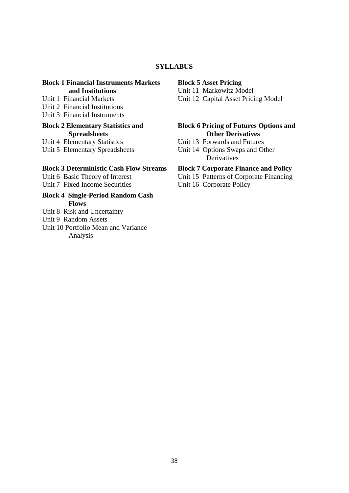#### **SYLLABUS**

#### **Block 1 Financial Instruments Markets and Institutions**

- Unit 1 Financial Markets
- Unit 2 Financial Institutions
- Unit 3 Financial Instruments

#### **Block 2 Elementary Statistics and Spreadsheets**

Unit 4 Elementary Statistics

Unit 5 Elementary Spreadsheets

#### **Block 3 Deterministic Cash Flow Streams**

Unit 6 Basic Theory of Interest Unit 7 Fixed Income Securities

#### **Block 4 Single-Period Random Cash Flows**

- Unit 8 Risk and Uncertainty
- Unit 9 Random Assets
- Unit 10 Portfolio Mean and Variance Analysis

#### **Block 5 Asset Pricing**

Unit 11 Markowitz Model

Unit 12 Capital Asset Pricing Model

#### **Block 6 Pricing of Futures Options and Other Derivatives**

- Unit 13 Forwards and Futures
- Unit 14 Options Swaps and Other **Derivatives**

#### **Block 7 Corporate Finance and Policy**

- Unit 15 Patterns of Corporate Financing
- Unit 16 Corporate Policy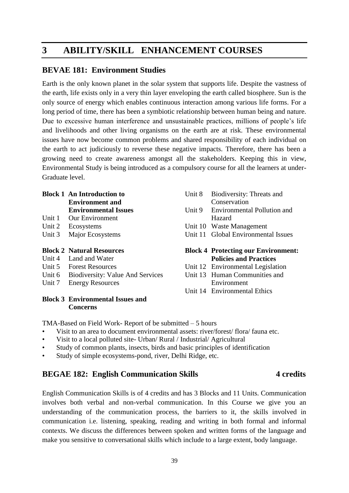# **3 ABILITY/SKILL ENHANCEMENT COURSES**

### **BEVAE 181: Environment Studies**

Earth is the only known planet in the solar system that supports life. Despite the vastness of the earth, life exists only in a very thin layer enveloping the earth called biosphere. Sun is the only source of energy which enables continuous interaction among various life forms. For a long period of time, there has been a symbiotic relationship between human being and nature. Due to excessive human interference and unsustainable practices, millions of people's life and livelihoods and other living organisms on the earth are at risk. These environmental issues have now become common problems and shared responsibility of each individual on the earth to act judiciously to reverse these negative impacts. Therefore, there has been a growing need to create awareness amongst all the stakeholders. Keeping this in view, Environmental Study is being introduced as a compulsory course for all the learners at under-Graduate level.

#### **Block 1 An Introduction to Environment and Environmental Issues**

- Unit 1 Our Environment
- Unit 2 Ecosystems
- Unit 3 Major Ecosystems

#### **Block 2 Natural Resources**

- Unit 4 Land and Water
- Unit 5 Forest Resources
- Unit 6 Biodiversity: Value And Services
- Unit 7 Energy Resources

#### **Block 3 Environmental Issues and Concerns**

| Unit 8   | Biodiversity: Threats and<br>Conservation    |
|----------|----------------------------------------------|
| Unit $9$ | <b>Environmental Pollution and</b><br>Hazard |
|          | Unit 10 Waste Management                     |
|          | Unit 11 Global Environmental Issues          |
|          | <b>Block 4 Protecting our Environment:</b>   |
|          | <b>Policies and Practices</b>                |
|          | Unit 12 Environmental Legislation            |
|          | Unit 13 Human Communities and                |
|          |                                              |

Unit 14 Environmental Ethics

TMA-Based on Field Work- Report of be submitted – 5 hours

- Visit to an area to document environmental assets: river/forest/ flora/ fauna etc.
- Visit to a local polluted site- Urban/ Rural / Industrial/ Agricultural
- Study of common plants, insects, birds and basic principles of identification
- Study of simple ecosystems-pond, river, Delhi Ridge, etc.

### **BEGAE 182: English Communication Skills 4** credits

English Communication Skills is of 4 credits and has 3 Blocks and 11 Units. Communication involves both verbal and non-verbal communication. In this Course we give you an understanding of the communication process, the barriers to it, the skills involved in communication i.e. listening, speaking, reading and writing in both formal and informal contexts. We discuss the differences between spoken and written forms of the language and make you sensitive to conversational skills which include to a large extent, body language.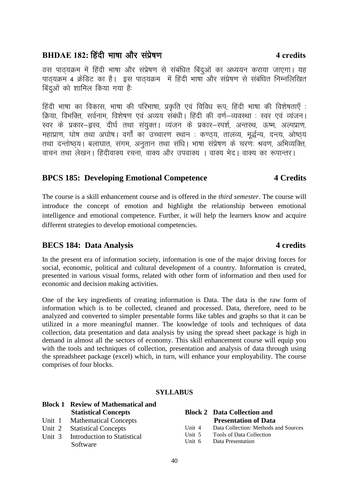### 40

### **BHDAE 182:** fg anh Hkk'kk vk Sj laiz s'k.k **4 credits**

ठस पाठयक्रम में हिंदी भाषा और संप्रेषण से संबंधित बिंदुओं का अध्ययन कराया जाएगा। यह पाठ्यक्रम 4 क्रेडिट का है। इस पाठ्यक्रम में हिंदी भाषा और संप्रेषण से संबंधित निम्नलिखित बिंदओं को शामिल किया गया है:

हिंदी भाषा का विकास, भाषा की परिभाषा, प्रकृति एवं विविध रूप; हिंदी भाषा की विशेषताएँ : क्रिया, विभक्ति, सर्वनाम, विशेषण एवं अव्यय संबंधी। हिंदी की वर्ण-व्यवस्था : स्वर एवं व्यंजन। रवर के प्रकार–ह्रस्व, दीर्घ तथा संयुक्त। व्यंजन के प्रकार–स्पर्श, अन्तस्थ, ऊष्म, अल्पप्राण, महाप्राण, घोष तथा अघोष। वर्गों का उच्चारण स्थान : कण्ठ्य, तालव्य, मूर्द्धन्य, दन्त्य, ओष्ठ्य तथा दन्तोष्ठ्य। बलाघात, संगम, अनुतान तथा संधि। भाषा संप्रेषण के चरणः श्रवण, अभिव्यक्ति, वाचन तथा लेखन। हिंदीवाक्य रचना, वाक्य और उपवाक्य । वाक्य भेद। वाक्य का रूपान्तर।

#### **BPCS 185: Developing Emotional Competence 4 Credits**

The course is a skill enhancement course and is offered in the *third semester*. The course will introduce the concept of emotion and highlight the relationship between emotional intelligence and emotional competence. Further, it will help the learners know and acquire different strategies to develop emotional competencies.

### **BECS 184:** Data Analysis **4** credits

In the present era of information society, information is one of the major driving forces for social, economic, political and cultural development of a country. Information is created, presented in various visual forms, related with other form of information and then used for economic and decision making activities.

One of the key ingredients of creating information is Data. The data is the raw form of information which is to be collected, cleaned and processed. Data, therefore, need to be analyzed and converted to simpler presentable forms like tables and graphs so that it can be utilized in a more meaningful manner. The knowledge of tools and techniques of data collection, data presentation and data analysis by using the spread sheet package is high in demand in almost all the sectors of economy. This skill enhancement course will equip you with the tools and techniques of collection, presentation and analysis of data through using the spreadsheet package (excel) which, in turn, will enhance your employability. The course comprises of four blocks.

#### **SYLLABUS**

|  | <b>Block 1 Review of Mathematical and</b> |        |                                      |
|--|-------------------------------------------|--------|--------------------------------------|
|  | <b>Statistical Concepts</b>               |        | <b>Block 2</b> Data Collection and   |
|  | Unit 1 Mathematical Concepts              |        | <b>Presentation of Data</b>          |
|  | Unit 2 Statistical Concepts               | Unit 4 | Data Collection: Methods and Sources |
|  | Unit 3 Introduction to Statistical        | Unit 5 | Tools of Data Collection             |
|  | Software                                  |        | Unit 6 Data Presentation             |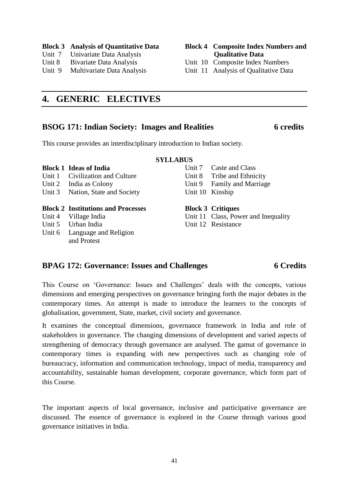#### **Block 3 Analysis of Quantitative Data**

- Unit 7 Univariate Data Analysis
- Unit 8 Bivariate Data Analysis
- Unit 9 Multivariate Data Analysis

#### **Block 4 Composite Index Numbers and Qualitative Data**

Unit 10 Composite Index Numbers

Unit 11 Analysis of Qualitative Data

# **4. GENERIC ELECTIVES**

# **BSOG 171: Indian Society: Images and Realities 6 credits**

#### **SYLLABUS**

**Block 1 Ideas of India** Unit 1 Civilization and Culture

This course provides an interdisciplinary introduction to Indian society.

- Unit 2 India as Colony
- Unit 3 Nation, State and Society

#### **Block 2 Institutions and Processes**

- Unit 4 Village India
- Unit 5 Urban India
- Unit 6 Language and Religion and Protest

Unit 7 Caste and Class Unit 8 Tribe and Ethnicity Unit 9 Family and Marriage Unit 10 Kinship

**Block 3 Critiques**

Unit 11 Class, Power and Inequality Unit 12 Resistance

#### **BPAG 172: Governance: Issues and Challenges 6 Credits**

This Course on 'Governance: Issues and Challenges' deals with the concepts, various dimensions and emerging perspectives on governance bringing forth the major debates in the contemporary times. An attempt is made to introduce the learners to the concepts of globalisation, government, State, market, civil society and governance.

It examines the conceptual dimensions, governance framework in India and role of stakeholders in governance. The changing dimensions of development and varied aspects of strengthening of democracy through governance are analysed. The gamut of governance in contemporary times is expanding with new perspectives such as changing role of bureaucracy, information and communication technology, impact of media, transparency and accountability, sustainable human development, corporate governance, which form part of this Course.

The important aspects of local governance, inclusive and participative governance are discussed. The essence of governance is explored in the Course through various good governance initiatives in India.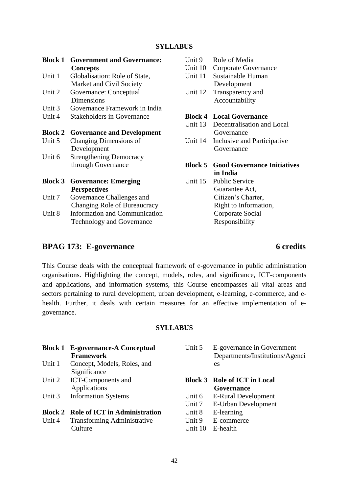| <b>Block 1</b> | <b>Government and Governance:</b><br><b>Concepts</b> | Unit 9<br>Unit 10 | Role of Media<br>Corporate Governance |
|----------------|------------------------------------------------------|-------------------|---------------------------------------|
| Unit 1         | Globalisation: Role of State,                        | Unit 11           | Sustainable Human                     |
|                | Market and Civil Society                             |                   | Development                           |
| Unit 2         | Governance: Conceptual                               | Unit 12           | Transparency and                      |
|                | <b>Dimensions</b>                                    |                   | Accountability                        |
| Unit 3         | Governance Framework in India                        |                   |                                       |
| Unit 4         | <b>Stakeholders in Governance</b>                    |                   | <b>Block 4 Local Governance</b>       |
|                |                                                      | Unit 13           | Decentralisation and Local            |
| <b>Block 2</b> | <b>Governance and Development</b>                    |                   | Governance                            |
| Unit 5         | Changing Dimensions of                               | Unit 14           | Inclusive and Participative           |
|                | Development                                          |                   | Governance                            |
| Unit 6         | <b>Strengthening Democracy</b>                       |                   |                                       |
|                | through Governance                                   | <b>Block 5</b>    | <b>Good Governance Initiatives</b>    |
|                |                                                      |                   | in India                              |
| <b>Block 3</b> | <b>Governance: Emerging</b>                          | Unit 15           | <b>Public Service</b>                 |
|                | <b>Perspectives</b>                                  |                   | Guarantee Act,                        |
| Unit 7         | Governance Challenges and                            |                   | Citizen's Charter,                    |
|                | Changing Role of Bureaucracy                         |                   | Right to Information,                 |
| Unit 8         | <b>Information and Communication</b>                 |                   | Corporate Social                      |
|                | <b>Technology and Governance</b>                     |                   | Responsibility                        |

### **BPAG 173: E-governance 6 credits**

This Course deals with the conceptual framework of e-governance in public administration organisations. Highlighting the concept, models, roles, and significance, ICT-components and applications, and information systems, this Course encompasses all vital areas and sectors pertaining to rural development, urban development, e-learning, e-commerce, and ehealth. Further, it deals with certain measures for an effective implementation of egovernance.

#### **SYLLABUS**

|        | <b>Framework</b>                             |            |
|--------|----------------------------------------------|------------|
| Unit 1 | Concept, Models, Roles, and                  |            |
|        | Significance                                 |            |
| Unit 2 | <b>ICT-Components and</b>                    | Blo        |
|        | Applications                                 |            |
| Unit 3 | <b>Information Systems</b>                   | <b>Uni</b> |
|        |                                              | Uni        |
|        | <b>Block 2 Role of ICT in Administration</b> | Uni        |
| Unit 4 | <b>Transforming Administrative</b>           | Uni        |
|        | Culture                                      | Uni        |

**Block 1 E-governance-A Conceptual** 

| Unit 5 E-governance in Government |
|-----------------------------------|
| Departments/Institutions/Agenci   |
| es.                               |

# **Block 3 Role of ICT in Local**

**Governance**

- it 6 E-Rural Development
- it 7 E-Urban Development
- $it 8$  E-learning
- $it 9$  E-commerce
- Unit 10 E-health